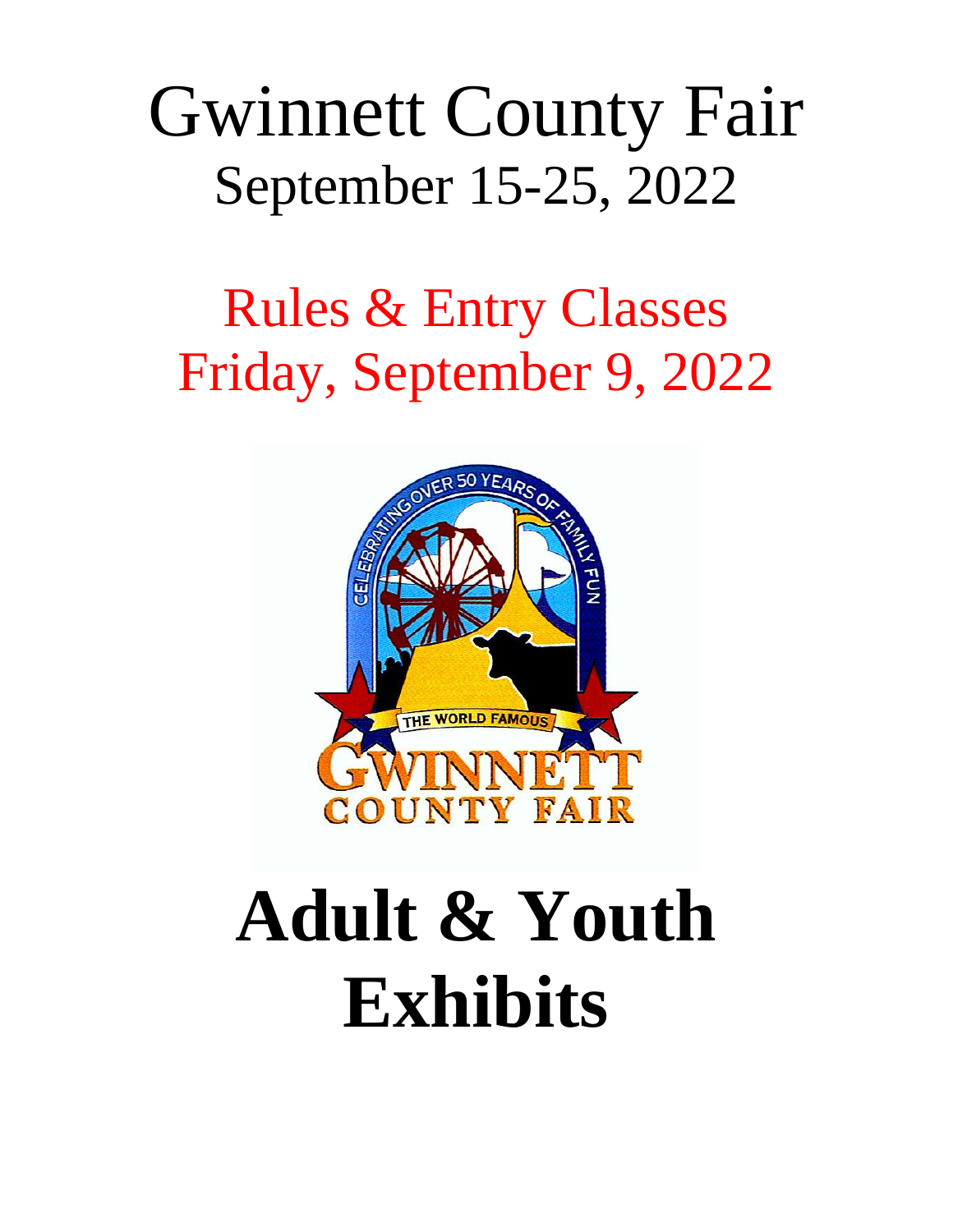## Gwinnett County Fair September 15-25, 2022

## Rules & Entry Classes Friday, September 9, 2022



# **Adult & Youth Exhibits**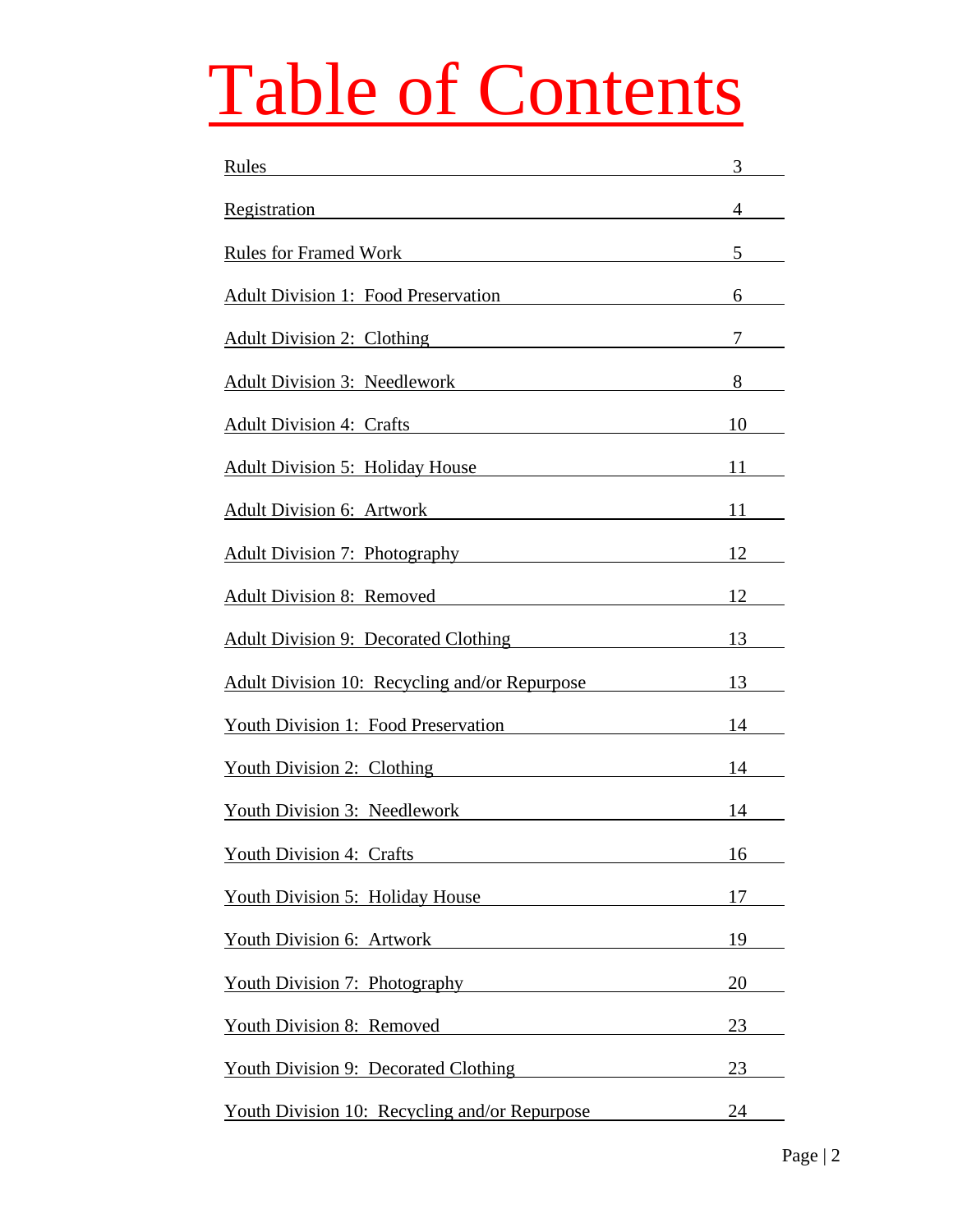# Table of Contents

| Rules                                                                                                                                                                                                                          | $3 \equiv$     |
|--------------------------------------------------------------------------------------------------------------------------------------------------------------------------------------------------------------------------------|----------------|
| Registration experience and the contract of the contract of the contract of the contract of the contract of the contract of the contract of the contract of the contract of the contract of the contract of the contract of th | $4\degree$     |
| <b>Rules for Framed Work</b>                                                                                                                                                                                                   | 5 <sup>5</sup> |
| <b>Adult Division 1: Food Preservation</b>                                                                                                                                                                                     | 6              |
| Adult Division 2: Clothing Manual Property of Adult Division 2: Clothing                                                                                                                                                       | 7              |
| Adult Division 3: Needlework                                                                                                                                                                                                   | 8              |
| Adult Division 4: Crafts                                                                                                                                                                                                       | $10$ $\qquad$  |
| Adult Division 5: Holiday House 11                                                                                                                                                                                             |                |
| Adult Division 6: Artwork                                                                                                                                                                                                      | 11             |
| Adult Division 7: Photography                                                                                                                                                                                                  | 12             |
| Adult Division 8: Removed 12                                                                                                                                                                                                   |                |
| <b>Adult Division 9: Decorated Clothing</b>                                                                                                                                                                                    | 13             |
| Adult Division 10: Recycling and/or Repurpose 13                                                                                                                                                                               |                |
| <b>Youth Division 1: Food Preservation</b> 14                                                                                                                                                                                  |                |
| Youth Division 2: Clothing The Context of the Context of the Context of the Context of the Context of the Context of the Context of the Context of the Context of the Context of the Context of the Context of the Context of  | 14             |
| <b>Youth Division 3: Needlework</b> 14                                                                                                                                                                                         |                |
| <b>Youth Division 4: Crafts</b>                                                                                                                                                                                                | 16             |
| Youth Division 5: Holiday House                                                                                                                                                                                                | 17             |
| <b>Youth Division 6: Artwork</b>                                                                                                                                                                                               | 19             |
| Youth Division 7: Photography                                                                                                                                                                                                  | 20             |
| <b>Youth Division 8: Removed</b>                                                                                                                                                                                               | 23             |
| <b>Youth Division 9: Decorated Clothing</b>                                                                                                                                                                                    | 23             |
| Youth Division 10: Recycling and/or Repurpose                                                                                                                                                                                  | 24             |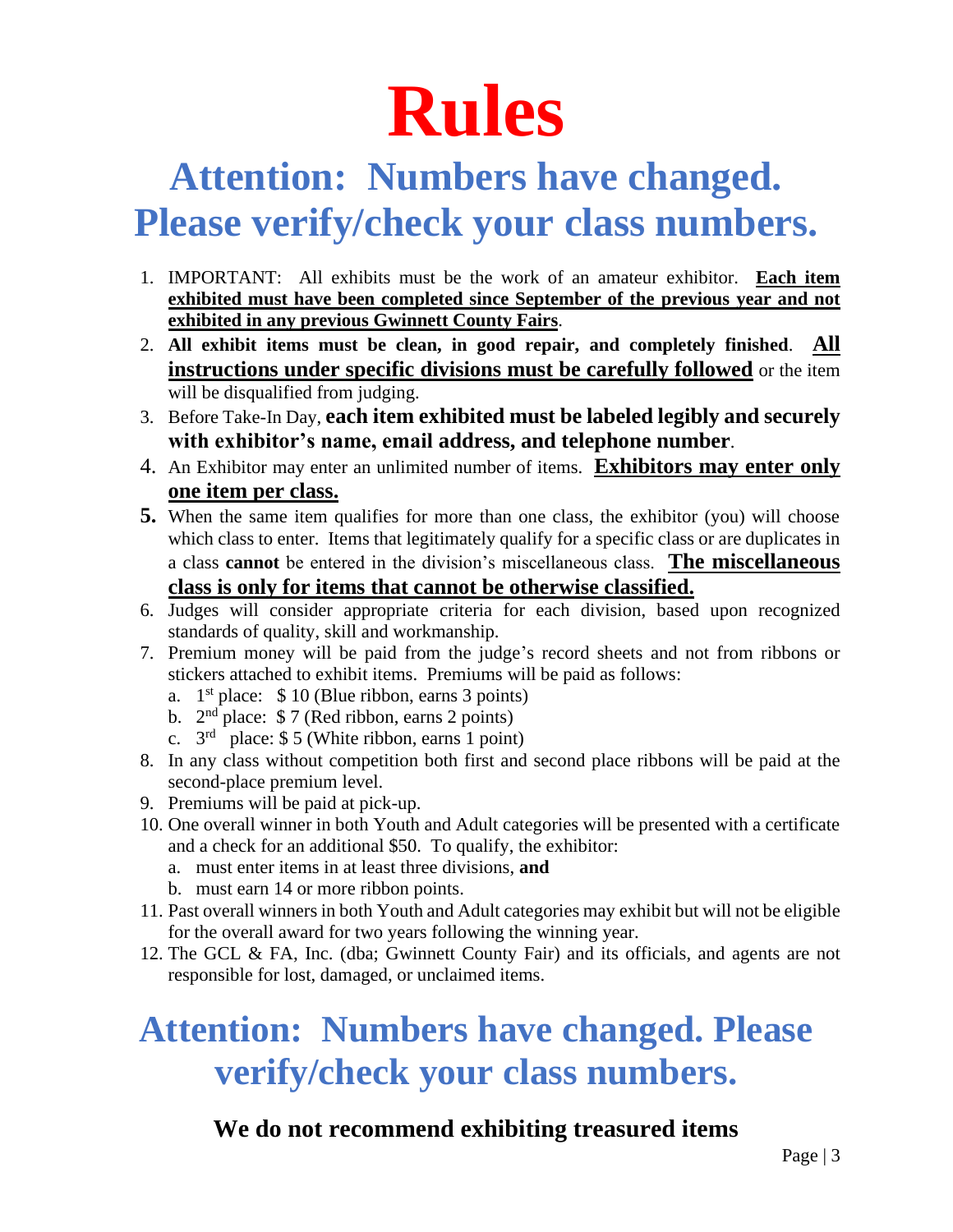

## **Attention: Numbers have changed.**

## **Please verify/check your class numbers.**

- 1. IMPORTANT: All exhibits must be the work of an amateur exhibitor. **Each item exhibited must have been completed since September of the previous year and not exhibited in any previous Gwinnett County Fairs**.
- 2. **All exhibit items must be clean, in good repair, and completely finished**. **All instructions under specific divisions must be carefully followed** or the item will be disqualified from judging.
- 3. Before Take-In Day, **each item exhibited must be labeled legibly and securely with exhibitor's name, email address, and telephone number**.
- 4. An Exhibitor may enter an unlimited number of items. **Exhibitors may enter only one item per class.**
- **5.** When the same item qualifies for more than one class, the exhibitor (you) will choose which class to enter. Items that legitimately qualify for a specific class or are duplicates in a class **cannot** be entered in the division's miscellaneous class. **The miscellaneous class is only for items that cannot be otherwise classified.**
- 6. Judges will consider appropriate criteria for each division, based upon recognized standards of quality, skill and workmanship.
- 7. Premium money will be paid from the judge's record sheets and not from ribbons or stickers attached to exhibit items. Premiums will be paid as follows:
	- a.  $1<sup>st</sup>$  place:  $$ 10$  (Blue ribbon, earns 3 points)
	- b.  $2<sup>nd</sup>$  place: \$7 (Red ribbon, earns 2 points)
	- c.  $3<sup>rd</sup>$  place: \$ 5 (White ribbon, earns 1 point)
- 8. In any class without competition both first and second place ribbons will be paid at the second-place premium level.
- 9. Premiums will be paid at pick-up.
- 10. One overall winner in both Youth and Adult categories will be presented with a certificate and a check for an additional \$50. To qualify, the exhibitor:
	- a. must enter items in at least three divisions, **and**
	- b. must earn 14 or more ribbon points.
- 11. Past overall winners in both Youth and Adult categories may exhibit but will not be eligible for the overall award for two years following the winning year.
- 12. The GCL & FA, Inc. (dba; Gwinnett County Fair) and its officials, and agents are not responsible for lost, damaged, or unclaimed items.

## **Attention: Numbers have changed. Please verify/check your class numbers.**

#### **We do not recommend exhibiting treasured items**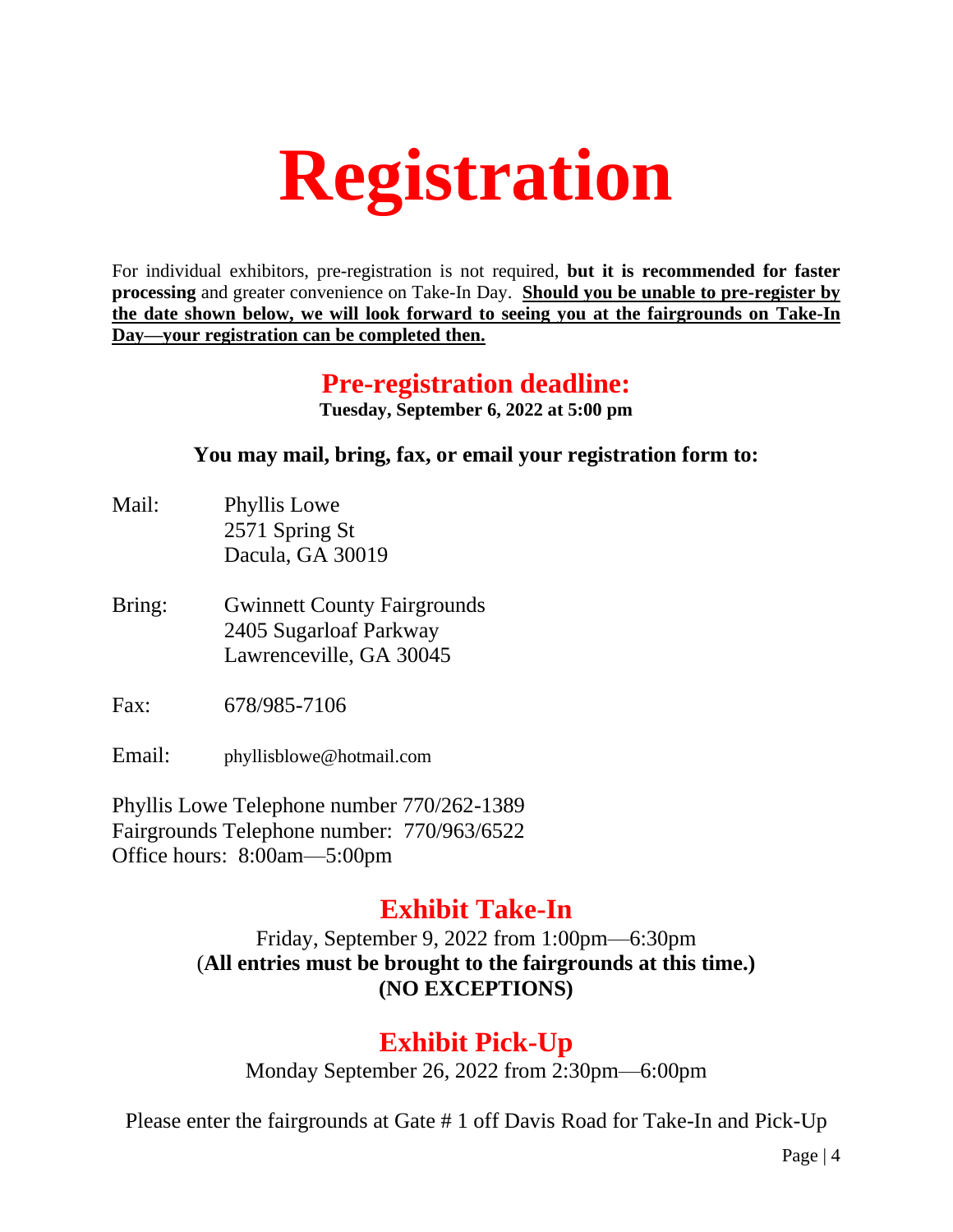# **Registration**

For individual exhibitors, pre-registration is not required, **but it is recommended for faster processing** and greater convenience on Take-In Day. **Should you be unable to pre-register by the date shown below, we will look forward to seeing you at the fairgrounds on Take-In Day—your registration can be completed then.**

#### **Pre-registration deadline:**

**Tuesday, September 6, 2022 at 5:00 pm**

#### **You may mail, bring, fax, or email your registration form to:**

- Mail: Phyllis Lowe 2571 Spring St Dacula, GA 30019
- Bring: Gwinnett County Fairgrounds 2405 Sugarloaf Parkway Lawrenceville, GA 30045
- Fax: 678/985-7106

Email: phyllisblowe@hotmail.com

Phyllis Lowe Telephone number 770/262-1389 Fairgrounds Telephone number: 770/963/6522 Office hours: 8:00am—5:00pm

#### **Exhibit Take-In**

Friday, September 9, 2022 from 1:00pm—6:30pm (**All entries must be brought to the fairgrounds at this time.) (NO EXCEPTIONS)**

#### **Exhibit Pick-Up**

Monday September 26, 2022 from 2:30pm—6:00pm

Please enter the fairgrounds at Gate # 1 off Davis Road for Take-In and Pick-Up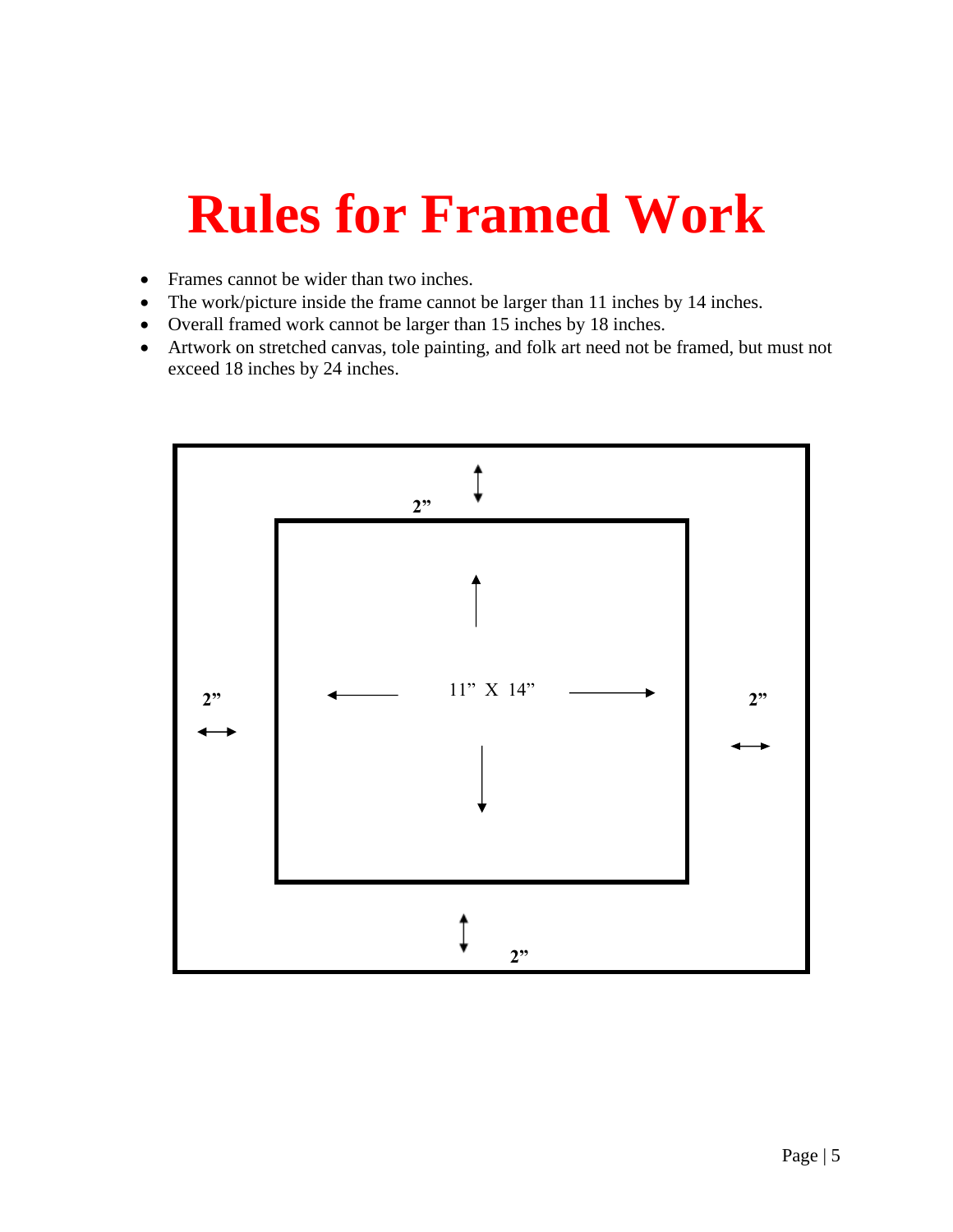## **Rules for Framed Work**

- Frames cannot be wider than two inches.
- The work/picture inside the frame cannot be larger than 11 inches by 14 inches.
- Overall framed work cannot be larger than 15 inches by 18 inches.
- Artwork on stretched canvas, tole painting, and folk art need not be framed, but must not exceed 18 inches by 24 inches.

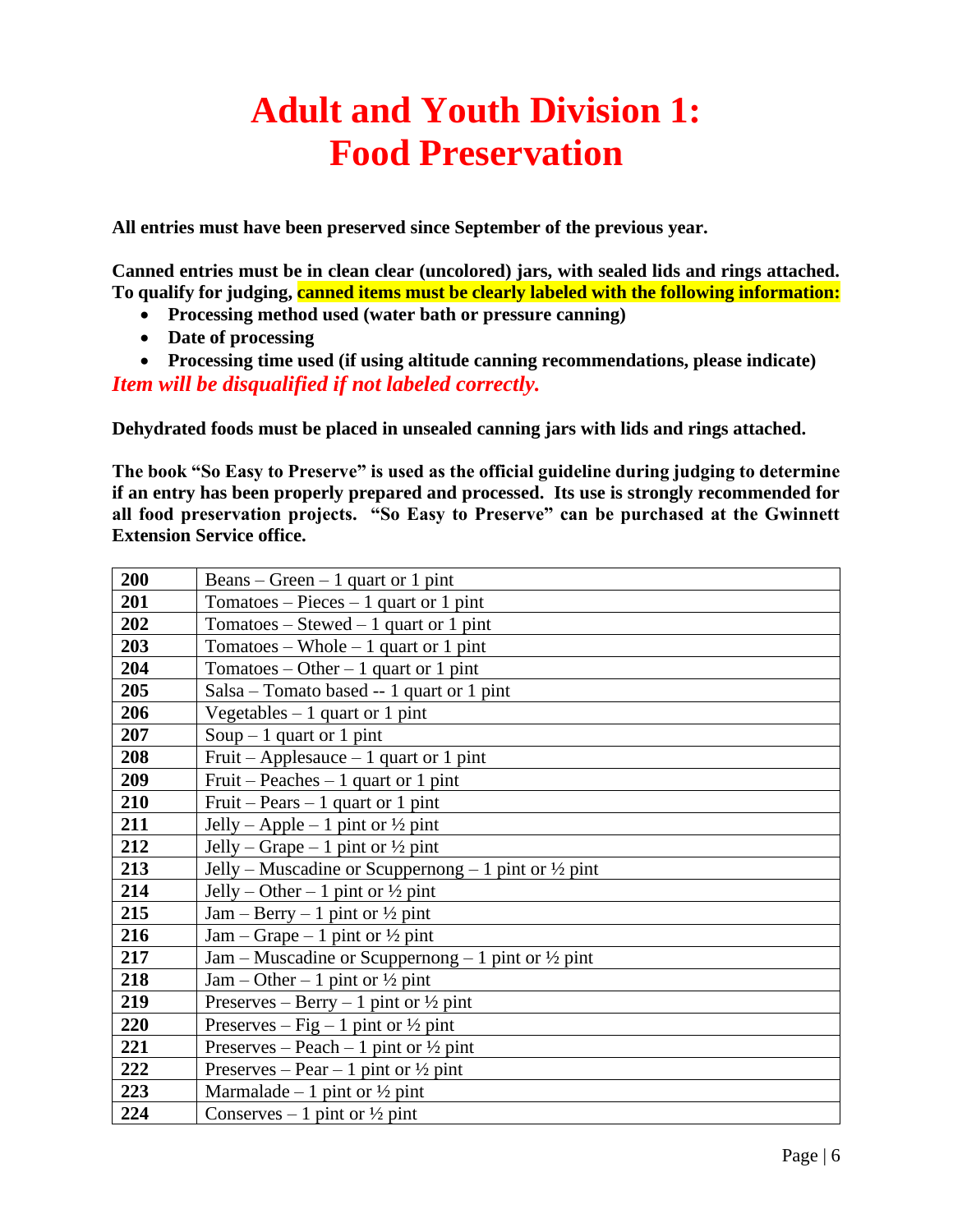## **Adult and Youth Division 1: Food Preservation**

**All entries must have been preserved since September of the previous year.**

**Canned entries must be in clean clear (uncolored) jars, with sealed lids and rings attached. To qualify for judging, canned items must be clearly labeled with the following information:**

- **Processing method used (water bath or pressure canning)**
- **Date of processing**
- **Processing time used (if using altitude canning recommendations, please indicate)**

*Item will be disqualified if not labeled correctly.*

**Dehydrated foods must be placed in unsealed canning jars with lids and rings attached.**

**The book "So Easy to Preserve" is used as the official guideline during judging to determine if an entry has been properly prepared and processed. Its use is strongly recommended for all food preservation projects. "So Easy to Preserve" can be purchased at the Gwinnett Extension Service office.**

| 200 | Beans – Green – 1 quart or 1 pint                               |
|-----|-----------------------------------------------------------------|
| 201 | Tomatoes – Pieces – 1 quart or 1 pint                           |
| 202 | Tomatoes – Stewed – 1 quart or 1 pint                           |
| 203 | Tomatoes – Whole – 1 quart or 1 pint                            |
| 204 | Tomatoes – Other – 1 quart or 1 pint                            |
| 205 | Salsa – Tomato based -- 1 quart or 1 pint                       |
| 206 | Vegetables $-1$ quart or 1 pint                                 |
| 207 | Soup $-1$ quart or 1 pint                                       |
| 208 | Fruit – Applesauce – 1 quart or 1 pint                          |
| 209 | Fruit – Peaches – 1 quart or 1 pint                             |
| 210 | Fruit – Pears – 1 quart or 1 pint                               |
| 211 | Jelly – Apple – 1 pint or $\frac{1}{2}$ pint                    |
| 212 | Jelly – Grape – 1 pint or $\frac{1}{2}$ pint                    |
| 213 | Jelly – Muscadine or Scuppernong – 1 pint or $\frac{1}{2}$ pint |
| 214 | Jelly – Other – 1 pint or $\frac{1}{2}$ pint                    |
| 215 | Jam – Berry – 1 pint or $\frac{1}{2}$ pint                      |
| 216 | Jam – Grape – 1 pint or $\frac{1}{2}$ pint                      |
| 217 | Jam – Muscadine or Scuppernong – 1 pint or $\frac{1}{2}$ pint   |
| 218 | Jam – Other – 1 pint or $\frac{1}{2}$ pint                      |
| 219 | Preserves – Berry – 1 pint or $\frac{1}{2}$ pint                |
| 220 | Preserves – Fig – 1 pint or $\frac{1}{2}$ pint                  |
| 221 | Preserves – Peach – 1 pint or $\frac{1}{2}$ pint                |
| 222 | Preserves – Pear – 1 pint or $\frac{1}{2}$ pint                 |
| 223 | Marmalade – 1 pint or $\frac{1}{2}$ pint                        |
| 224 | Conserves – 1 pint or $\frac{1}{2}$ pint                        |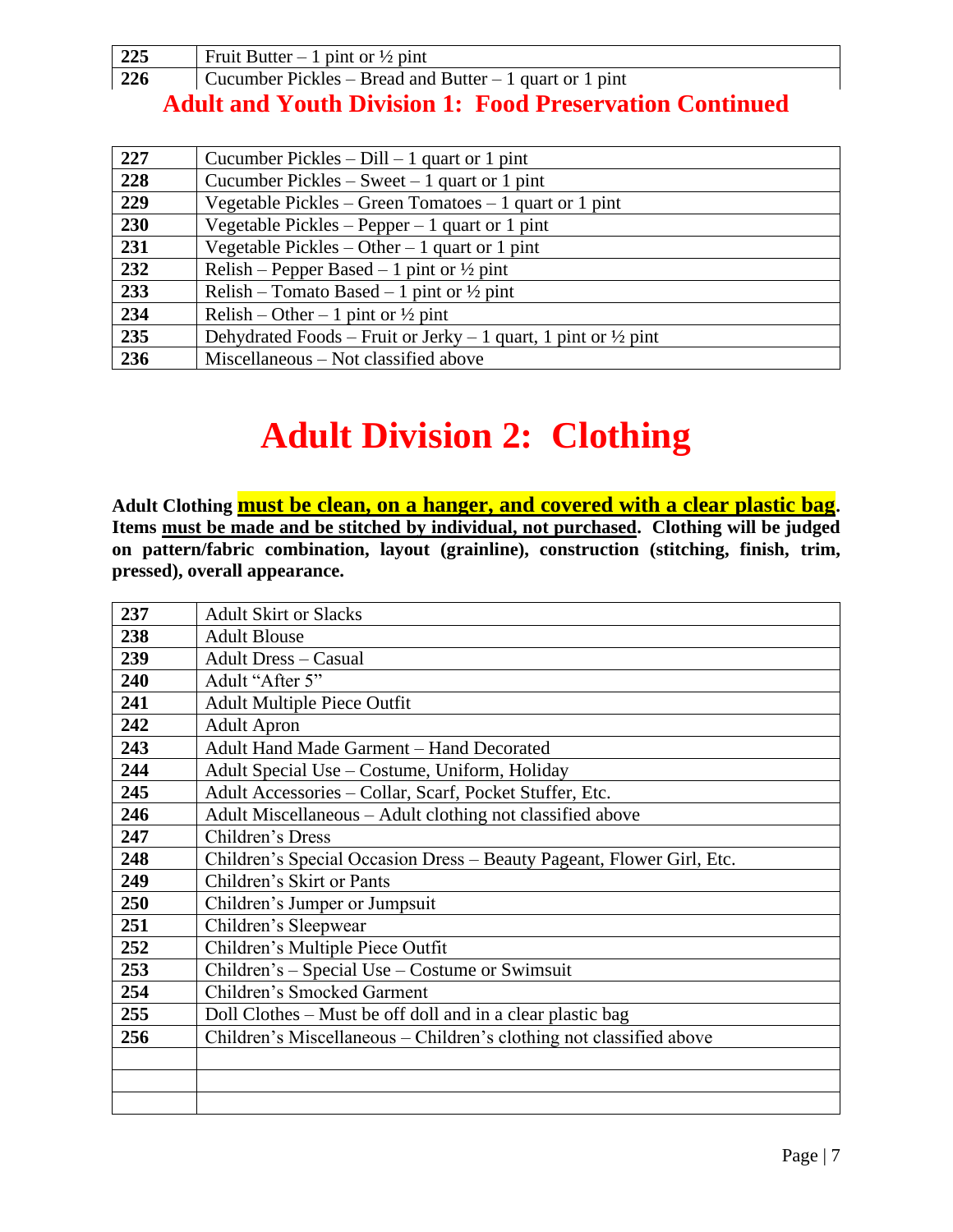| 225 | Fruit Butter – 1 pint or $\frac{1}{2}$ pint             |
|-----|---------------------------------------------------------|
| 226 | Cucumber Pickles – Bread and Butter – 1 quart or 1 pint |

#### **Adult and Youth Division 1: Food Preservation Continued**

| 227 | Cucumber Pickles $-$ Dill $-1$ quart or 1 pint                            |
|-----|---------------------------------------------------------------------------|
| 228 | Cucumber Pickles – Sweet – 1 quart or 1 pint                              |
| 229 | Vegetable Pickles – Green Tomatoes – 1 quart or 1 pint                    |
| 230 | Vegetable Pickles – Pepper – 1 quart or 1 pint                            |
| 231 | Vegetable Pickles – Other – 1 quart or 1 pint                             |
| 232 | Relish – Pepper Based – 1 pint or $\frac{1}{2}$ pint                      |
| 233 | Relish – Tomato Based – 1 pint or $\frac{1}{2}$ pint                      |
| 234 | Relish – Other – 1 pint or $\frac{1}{2}$ pint                             |
| 235 | Dehydrated Foods – Fruit or Jerky – 1 quart, 1 pint or $\frac{1}{2}$ pint |
| 236 | Miscellaneous – Not classified above                                      |

## **Adult Division 2: Clothing**

**Adult Clothing must be clean, on a hanger, and covered with a clear plastic bag. Items must be made and be stitched by individual, not purchased. Clothing will be judged on pattern/fabric combination, layout (grainline), construction (stitching, finish, trim, pressed), overall appearance.**

| 237 | <b>Adult Skirt or Slacks</b>                                          |
|-----|-----------------------------------------------------------------------|
| 238 | <b>Adult Blouse</b>                                                   |
| 239 | <b>Adult Dress - Casual</b>                                           |
| 240 | Adult "After 5"                                                       |
| 241 | <b>Adult Multiple Piece Outfit</b>                                    |
| 242 | <b>Adult Apron</b>                                                    |
| 243 | Adult Hand Made Garment - Hand Decorated                              |
| 244 | Adult Special Use – Costume, Uniform, Holiday                         |
| 245 | Adult Accessories - Collar, Scarf, Pocket Stuffer, Etc.               |
| 246 | Adult Miscellaneous - Adult clothing not classified above             |
| 247 | Children's Dress                                                      |
| 248 | Children's Special Occasion Dress – Beauty Pageant, Flower Girl, Etc. |
| 249 | Children's Skirt or Pants                                             |
| 250 | Children's Jumper or Jumpsuit                                         |
| 251 | Children's Sleepwear                                                  |
| 252 | Children's Multiple Piece Outfit                                      |
| 253 | Children's – Special Use – Costume or Swimsuit                        |
| 254 | Children's Smocked Garment                                            |
| 255 | Doll Clothes – Must be off doll and in a clear plastic bag            |
| 256 | Children's Miscellaneous – Children's clothing not classified above   |
|     |                                                                       |
|     |                                                                       |
|     |                                                                       |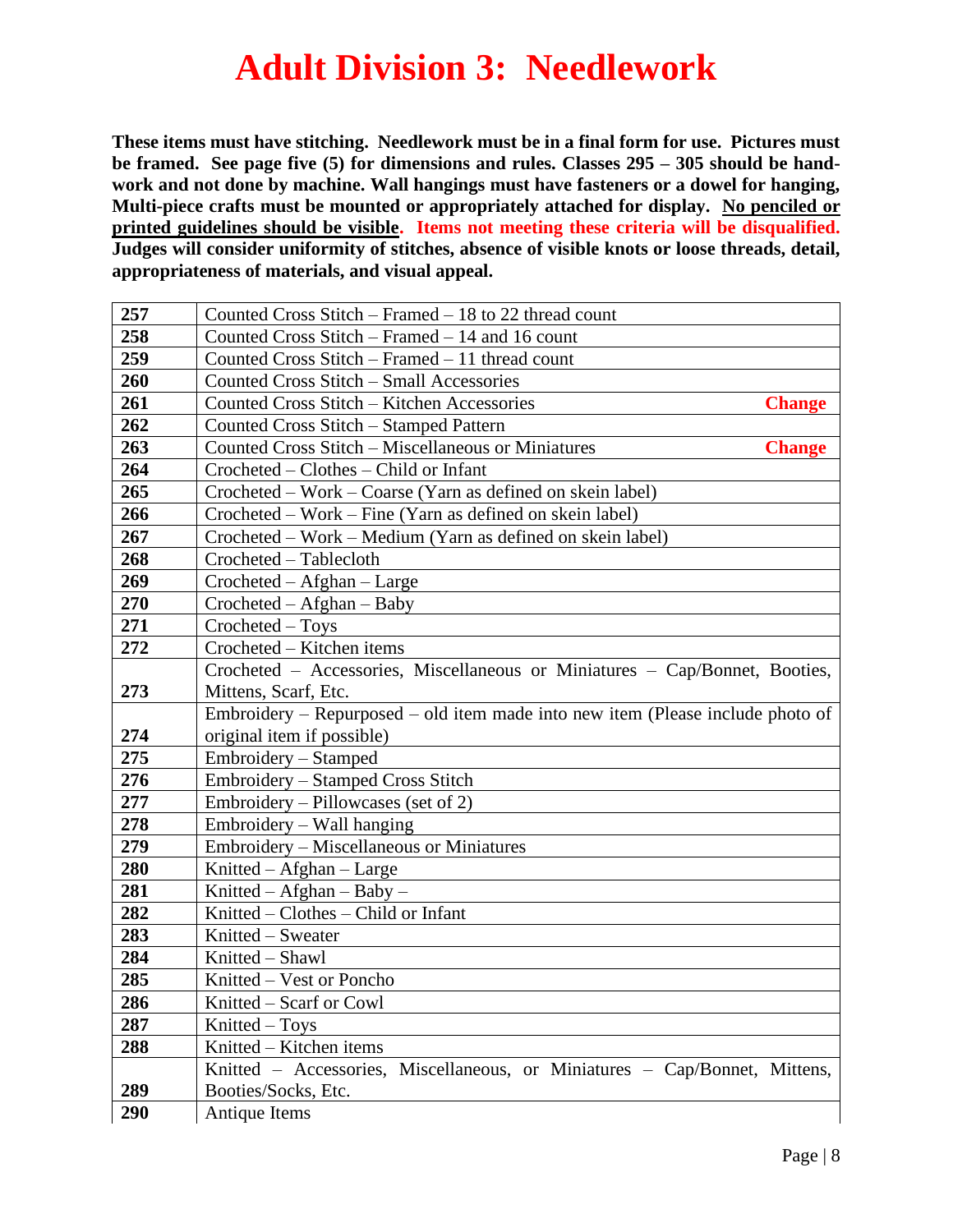## **Adult Division 3: Needlework**

**These items must have stitching. Needlework must be in a final form for use. Pictures must be framed. See page five (5) for dimensions and rules. Classes 295 – 305 should be handwork and not done by machine. Wall hangings must have fasteners or a dowel for hanging, Multi-piece crafts must be mounted or appropriately attached for display. No penciled or printed guidelines should be visible. Items not meeting these criteria will be disqualified. Judges will consider uniformity of stitches, absence of visible knots or loose threads, detail, appropriateness of materials, and visual appeal.**

| 257        | Counted Cross Stitch – Framed – 18 to 22 thread count                          |
|------------|--------------------------------------------------------------------------------|
| 258        | Counted Cross Stitch – Framed – 14 and 16 count                                |
| 259        | Counted Cross Stitch – Framed – 11 thread count                                |
| 260        | Counted Cross Stitch - Small Accessories                                       |
| 261        | Counted Cross Stitch - Kitchen Accessories<br><b>Change</b>                    |
| 262        | Counted Cross Stitch - Stamped Pattern                                         |
| 263        | Counted Cross Stitch - Miscellaneous or Miniatures<br><b>Change</b>            |
| 264        | Crocheted – Clothes – Child or Infant                                          |
| 265        | Crocheted – Work – Coarse (Yarn as defined on skein label)                     |
| 266        | Crocheted – Work – Fine (Yarn as defined on skein label)                       |
| 267        | Crocheted – Work – Medium (Yarn as defined on skein label)                     |
| 268        | Crocheted - Tablecloth                                                         |
| 269        | $Crocheted - Afghan - Large$                                                   |
| 270        | $Crocheted - A fghan - Baby$                                                   |
| 271        | Crocheted - Toys                                                               |
| 272        | Crocheted - Kitchen items                                                      |
|            | Crocheted - Accessories, Miscellaneous or Miniatures - Cap/Bonnet, Booties,    |
| 273        | Mittens, Scarf, Etc.                                                           |
|            | Embroidery – Repurposed – old item made into new item (Please include photo of |
| 274        | original item if possible)                                                     |
| 275        | Embroidery – Stamped                                                           |
| 276        | Embroidery – Stamped Cross Stitch                                              |
| 277        | Embroidery – Pillowcases (set of 2)                                            |
| 278        | Embroidery – Wall hanging                                                      |
| 279        | Embroidery - Miscellaneous or Miniatures                                       |
| 280        | Knitted - Afghan - Large                                                       |
| 281<br>282 | Knitted – Afghan – Baby –<br>Knitted – Clothes – Child or Infant               |
| 283        | Knitted – Sweater                                                              |
| 284        | Knitted - Shawl                                                                |
| 285        | Knitted - Vest or Poncho                                                       |
| 286        | Knitted - Scarf or Cowl                                                        |
| 287        | Knitted – Toys                                                                 |
| 288        | Knitted - Kitchen items                                                        |
|            | Knitted – Accessories, Miscellaneous, or Miniatures – Cap/Bonnet, Mittens,     |
| 289        | Booties/Socks, Etc.                                                            |
| 290        | Antique Items                                                                  |
|            |                                                                                |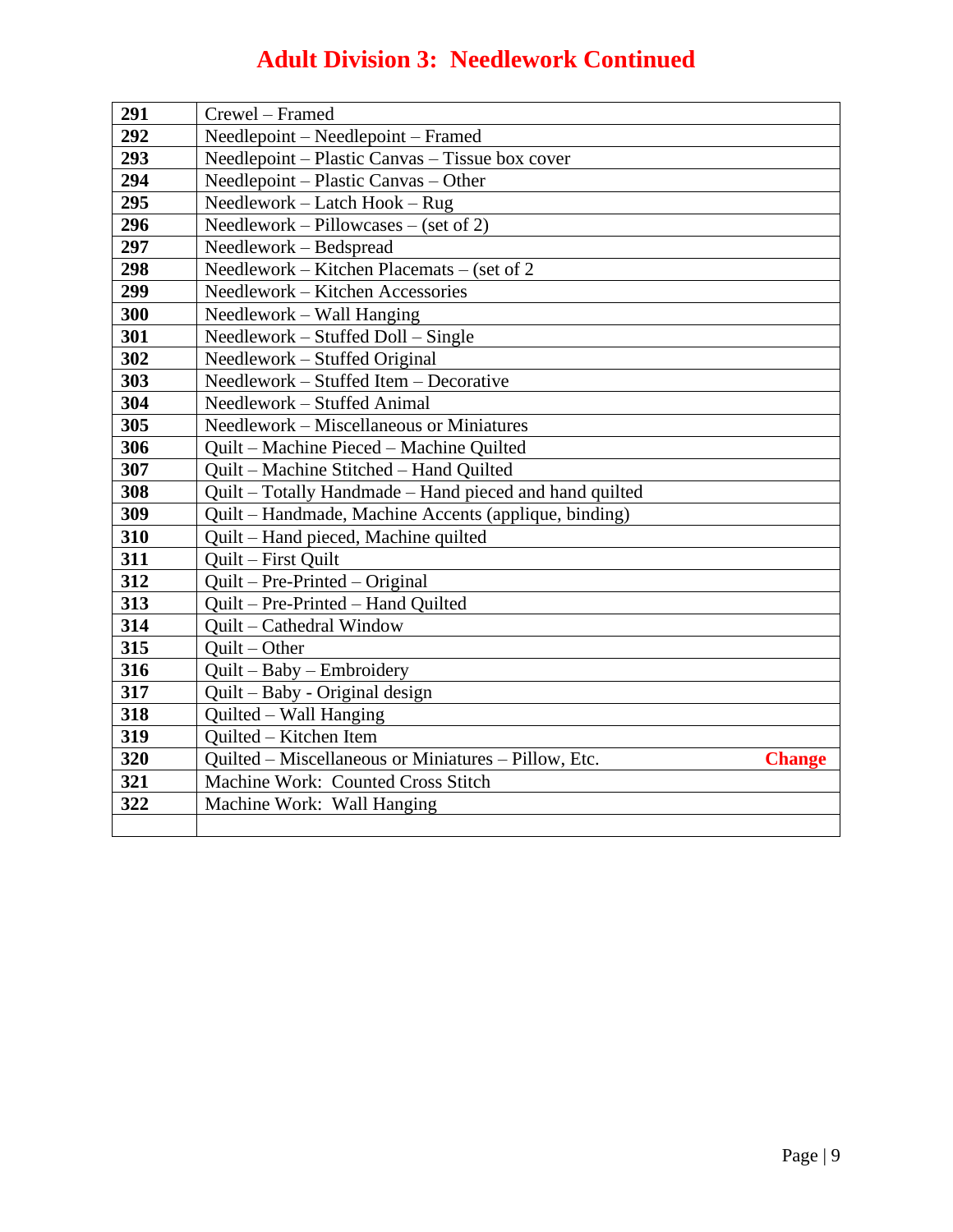#### **Adult Division 3: Needlework Continued**

| 291 | Crewel - Framed                                                       |
|-----|-----------------------------------------------------------------------|
| 292 | Needlepoint - Needlepoint - Framed                                    |
| 293 | Needlepoint - Plastic Canvas - Tissue box cover                       |
| 294 | Needlepoint – Plastic Canvas – Other                                  |
| 295 | Needlework - Latch Hook - Rug                                         |
| 296 | Needlework – Pillowcases – (set of 2)                                 |
| 297 | Needlework - Bedspread                                                |
| 298 | Needlework – Kitchen Placemats – (set of 2                            |
| 299 | Needlework - Kitchen Accessories                                      |
| 300 | Needlework – Wall Hanging                                             |
| 301 | Needlework – Stuffed Doll – Single                                    |
| 302 | Needlework - Stuffed Original                                         |
| 303 | Needlework - Stuffed Item - Decorative                                |
| 304 | Needlework - Stuffed Animal                                           |
| 305 | Needlework – Miscellaneous or Miniatures                              |
| 306 | Quilt - Machine Pieced - Machine Quilted                              |
| 307 | Quilt - Machine Stitched - Hand Quilted                               |
| 308 | Quilt – Totally Handmade – Hand pieced and hand quilted               |
| 309 | Quilt – Handmade, Machine Accents (applique, binding)                 |
| 310 | Quilt – Hand pieced, Machine quilted                                  |
| 311 | Quilt - First Quilt                                                   |
| 312 | $Quilt - Pre-Printed - Original$                                      |
| 313 | Quilt - Pre-Printed - Hand Quilted                                    |
| 314 | Quilt - Cathedral Window                                              |
| 315 | $Quilt - Other$                                                       |
| 316 | $Quit - Baby - Embroidery$                                            |
| 317 | Quilt – Baby - Original design                                        |
| 318 | Quilted – Wall Hanging                                                |
| 319 | Quilted - Kitchen Item                                                |
| 320 | Quilted - Miscellaneous or Miniatures - Pillow, Etc.<br><b>Change</b> |
| 321 | Machine Work: Counted Cross Stitch                                    |
| 322 | Machine Work: Wall Hanging                                            |
|     |                                                                       |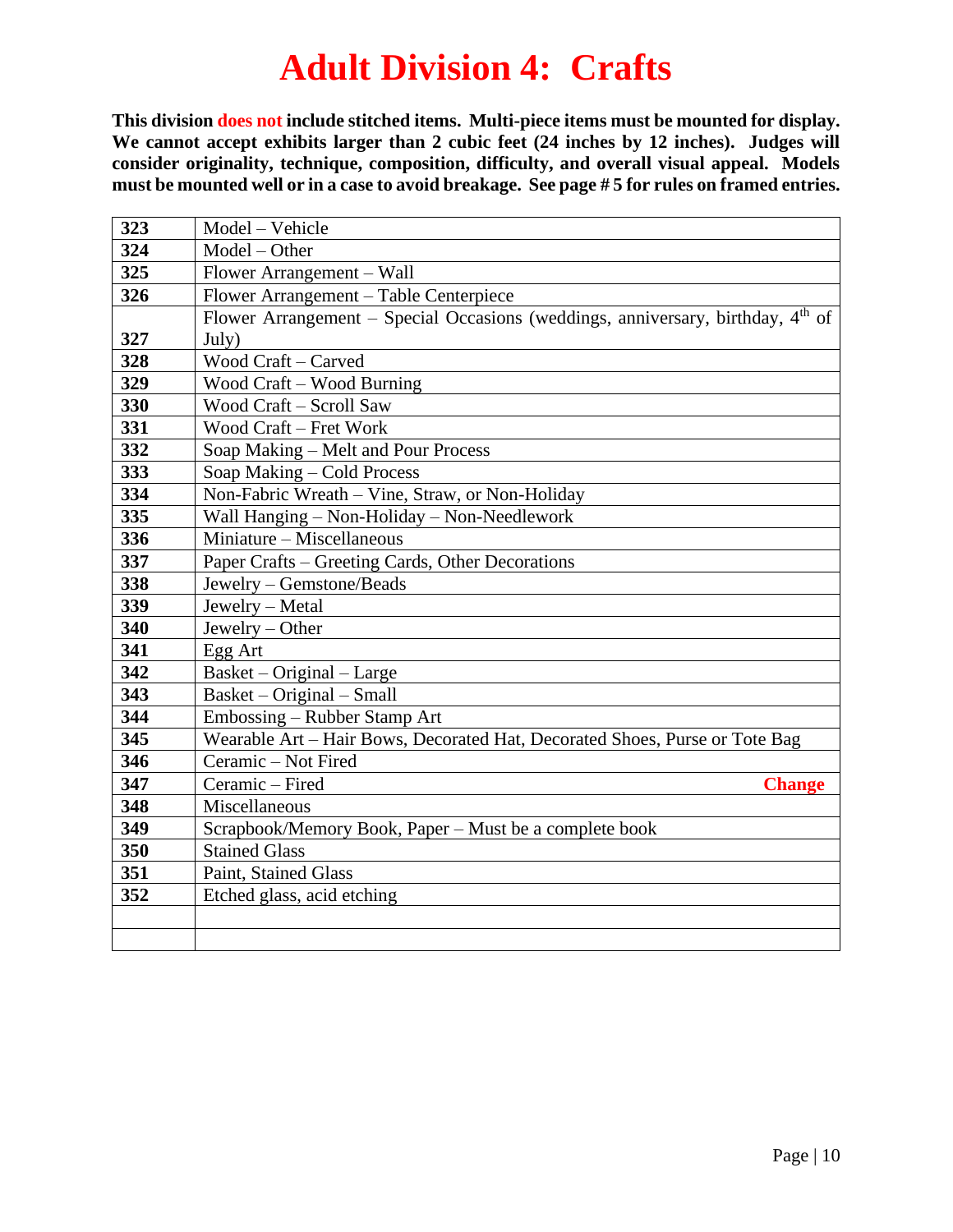### **Adult Division 4: Crafts**

**This division does not include stitched items. Multi-piece items must be mounted for display.**  We cannot accept exhibits larger than 2 cubic feet (24 inches by 12 inches). Judges will **consider originality, technique, composition, difficulty, and overall visual appeal. Models must be mounted well or in a case to avoid breakage. See page # 5 for rules on framed entries.**

| 323 | Model - Vehicle                                                                   |
|-----|-----------------------------------------------------------------------------------|
| 324 | Model - Other                                                                     |
| 325 | Flower Arrangement - Wall                                                         |
| 326 | Flower Arrangement - Table Centerpiece                                            |
|     | Flower Arrangement – Special Occasions (weddings, anniversary, birthday, $4th$ of |
| 327 | July)                                                                             |
| 328 | Wood Craft - Carved                                                               |
| 329 | <b>Wood Craft – Wood Burning</b>                                                  |
| 330 | Wood Craft - Scroll Saw                                                           |
| 331 | Wood Craft - Fret Work                                                            |
| 332 | Soap Making – Melt and Pour Process                                               |
| 333 | Soap Making - Cold Process                                                        |
| 334 | Non-Fabric Wreath – Vine, Straw, or Non-Holiday                                   |
| 335 | Wall Hanging - Non-Holiday - Non-Needlework                                       |
| 336 | Miniature – Miscellaneous                                                         |
| 337 | Paper Crafts – Greeting Cards, Other Decorations                                  |
| 338 | Jewelry - Gemstone/Beads                                                          |
| 339 | Jewelry - Metal                                                                   |
| 340 | Jewelry - Other                                                                   |
| 341 | Egg Art                                                                           |
| 342 | Basket - Original - Large                                                         |
| 343 | Basket – Original – Small                                                         |
| 344 | Embossing – Rubber Stamp Art                                                      |
| 345 | Wearable Art - Hair Bows, Decorated Hat, Decorated Shoes, Purse or Tote Bag       |
| 346 | Ceramic - Not Fired                                                               |
| 347 | Ceramic - Fired<br><b>Change</b>                                                  |
| 348 | Miscellaneous                                                                     |
| 349 | Scrapbook/Memory Book, Paper – Must be a complete book                            |
| 350 | <b>Stained Glass</b>                                                              |
| 351 | Paint, Stained Glass                                                              |
| 352 | Etched glass, acid etching                                                        |
|     |                                                                                   |
|     |                                                                                   |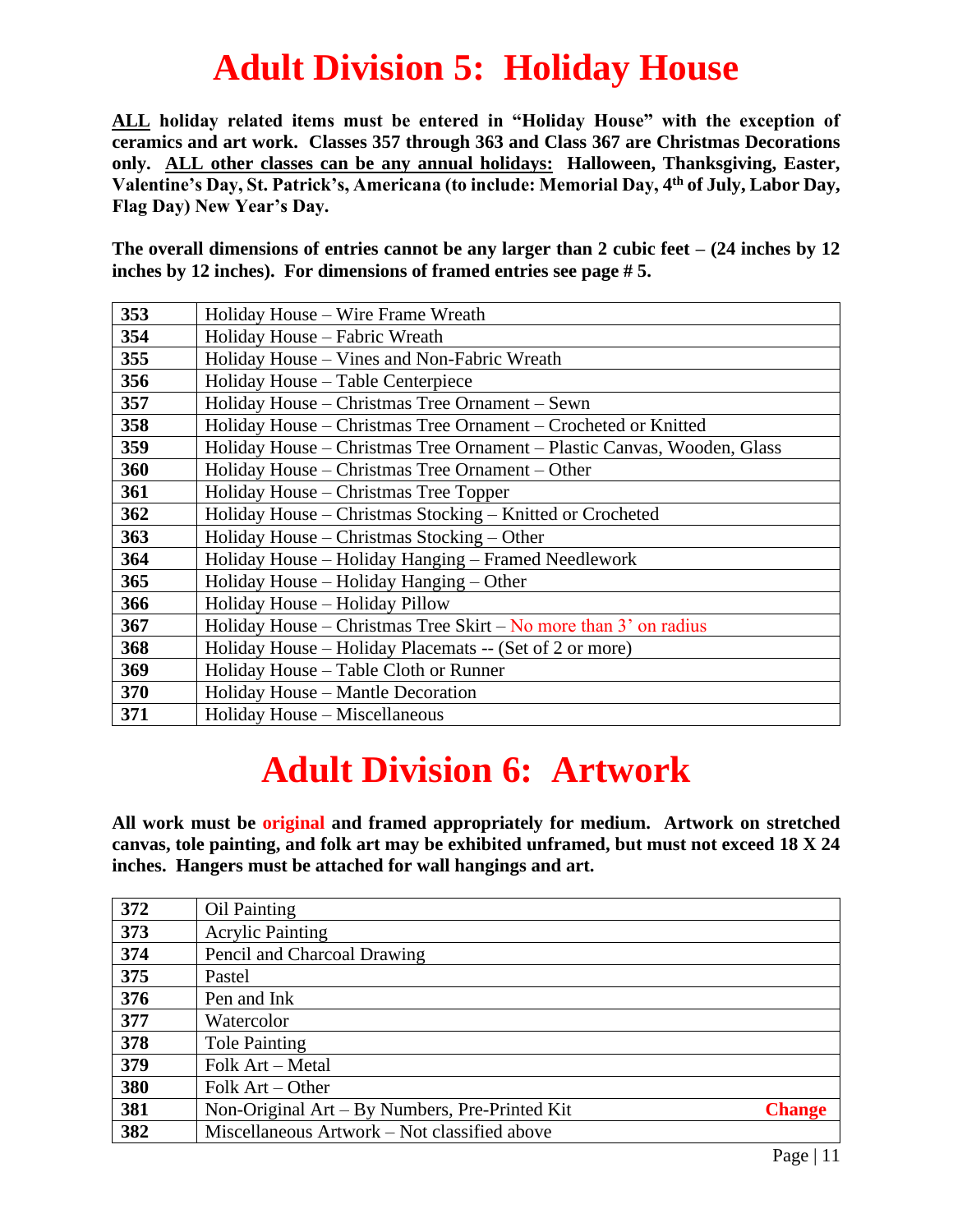## **Adult Division 5: Holiday House**

**ALL holiday related items must be entered in "Holiday House" with the exception of ceramics and art work. Classes 357 through 363 and Class 367 are Christmas Decorations only. ALL other classes can be any annual holidays: Halloween, Thanksgiving, Easter, Valentine's Day, St. Patrick's, Americana (to include: Memorial Day, 4 th of July, Labor Day, Flag Day) New Year's Day.**

**The overall dimensions of entries cannot be any larger than 2 cubic feet – (24 inches by 12 inches by 12 inches). For dimensions of framed entries see page # 5.**

| 353 | Holiday House – Wire Frame Wreath                                       |
|-----|-------------------------------------------------------------------------|
| 354 | Holiday House – Fabric Wreath                                           |
| 355 | Holiday House – Vines and Non-Fabric Wreath                             |
| 356 | Holiday House – Table Centerpiece                                       |
| 357 | Holiday House – Christmas Tree Ornament – Sewn                          |
| 358 | Holiday House – Christmas Tree Ornament – Crocheted or Knitted          |
| 359 | Holiday House – Christmas Tree Ornament – Plastic Canvas, Wooden, Glass |
| 360 | Holiday House – Christmas Tree Ornament – Other                         |
| 361 | Holiday House – Christmas Tree Topper                                   |
| 362 | Holiday House – Christmas Stocking – Knitted or Crocheted               |
| 363 | Holiday House – Christmas Stocking – Other                              |
| 364 | Holiday House - Holiday Hanging - Framed Needlework                     |
| 365 | Holiday House – Holiday Hanging – Other                                 |
| 366 | Holiday House – Holiday Pillow                                          |
| 367 | Holiday House – Christmas Tree Skirt – No more than $3'$ on radius      |
| 368 | Holiday House – Holiday Placemats -- (Set of 2 or more)                 |
| 369 | Holiday House – Table Cloth or Runner                                   |
| 370 | Holiday House - Mantle Decoration                                       |
| 371 | Holiday House – Miscellaneous                                           |

## **Adult Division 6: Artwork**

**All work must be original and framed appropriately for medium. Artwork on stretched canvas, tole painting, and folk art may be exhibited unframed, but must not exceed 18 X 24 inches. Hangers must be attached for wall hangings and art.**

| 372 | <b>Oil Painting</b>                            |               |
|-----|------------------------------------------------|---------------|
| 373 | <b>Acrylic Painting</b>                        |               |
| 374 | Pencil and Charcoal Drawing                    |               |
| 375 | Pastel                                         |               |
| 376 | Pen and Ink                                    |               |
| 377 | Watercolor                                     |               |
| 378 | <b>Tole Painting</b>                           |               |
| 379 | Folk Art – Metal                               |               |
| 380 | Folk $Art - Other$                             |               |
| 381 | Non-Original Art – By Numbers, Pre-Printed Kit | <b>Change</b> |
| 382 | Miscellaneous Artwork – Not classified above   |               |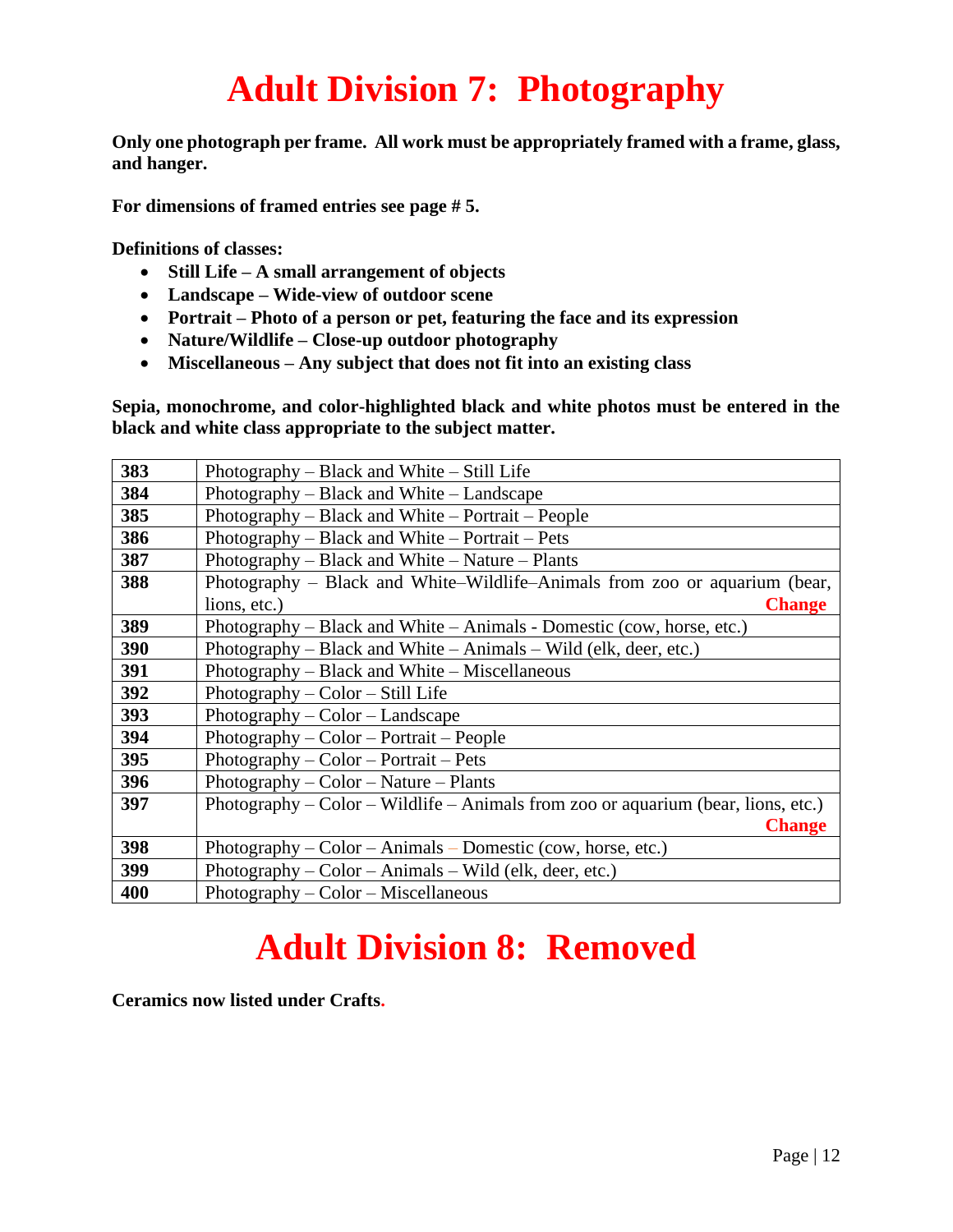## **Adult Division 7: Photography**

**Only one photograph per frame. All work must be appropriately framed with a frame, glass, and hanger.**

**For dimensions of framed entries see page # 5.**

**Definitions of classes:**

- **Still Life – A small arrangement of objects**
- **Landscape – Wide-view of outdoor scene**
- **Portrait – Photo of a person or pet, featuring the face and its expression**
- **Nature/Wildlife – Close-up outdoor photography**
- **Miscellaneous – Any subject that does not fit into an existing class**

**Sepia, monochrome, and color-highlighted black and white photos must be entered in the black and white class appropriate to the subject matter.**

| 383 | Photography – Black and White – Still Life                                        |
|-----|-----------------------------------------------------------------------------------|
| 384 | Photography – Black and White – Landscape                                         |
| 385 | Photography – Black and White – Portrait – People                                 |
| 386 | Photography – Black and White – Portrait – Pets                                   |
| 387 | Photography – Black and White – Nature – Plants                                   |
| 388 | Photography – Black and White–Wildlife–Animals from zoo or aquarium (bear,        |
|     | lions, etc.)<br><b>Change</b>                                                     |
| 389 | Photography - Black and White - Animals - Domestic (cow, horse, etc.)             |
| 390 | Photography – Black and White – Animals – Wild (elk, deer, etc.)                  |
| 391 | Photography – Black and White – Miscellaneous                                     |
| 392 | Photography $-$ Color $-$ Still Life                                              |
| 393 | Photography $-$ Color $-$ Landscape                                               |
| 394 | $Photography - Color - Portrait - People$                                         |
| 395 | $Photography - Color - Portrait - Pets$                                           |
| 396 | $Photography - Color - Nature - Plants$                                           |
| 397 | Photography – Color – Wildlife – Animals from zoo or aquarium (bear, lions, etc.) |
|     | <b>Change</b>                                                                     |
| 398 | Photography $-$ Color $-$ Animals $-$ Domestic (cow, horse, etc.)                 |
| 399 | Photography $-$ Color $-$ Animals $-$ Wild (elk, deer, etc.)                      |
| 400 | $Photography - Color - Miscellaneous$                                             |

## **Adult Division 8: Removed**

**Ceramics now listed under Crafts.**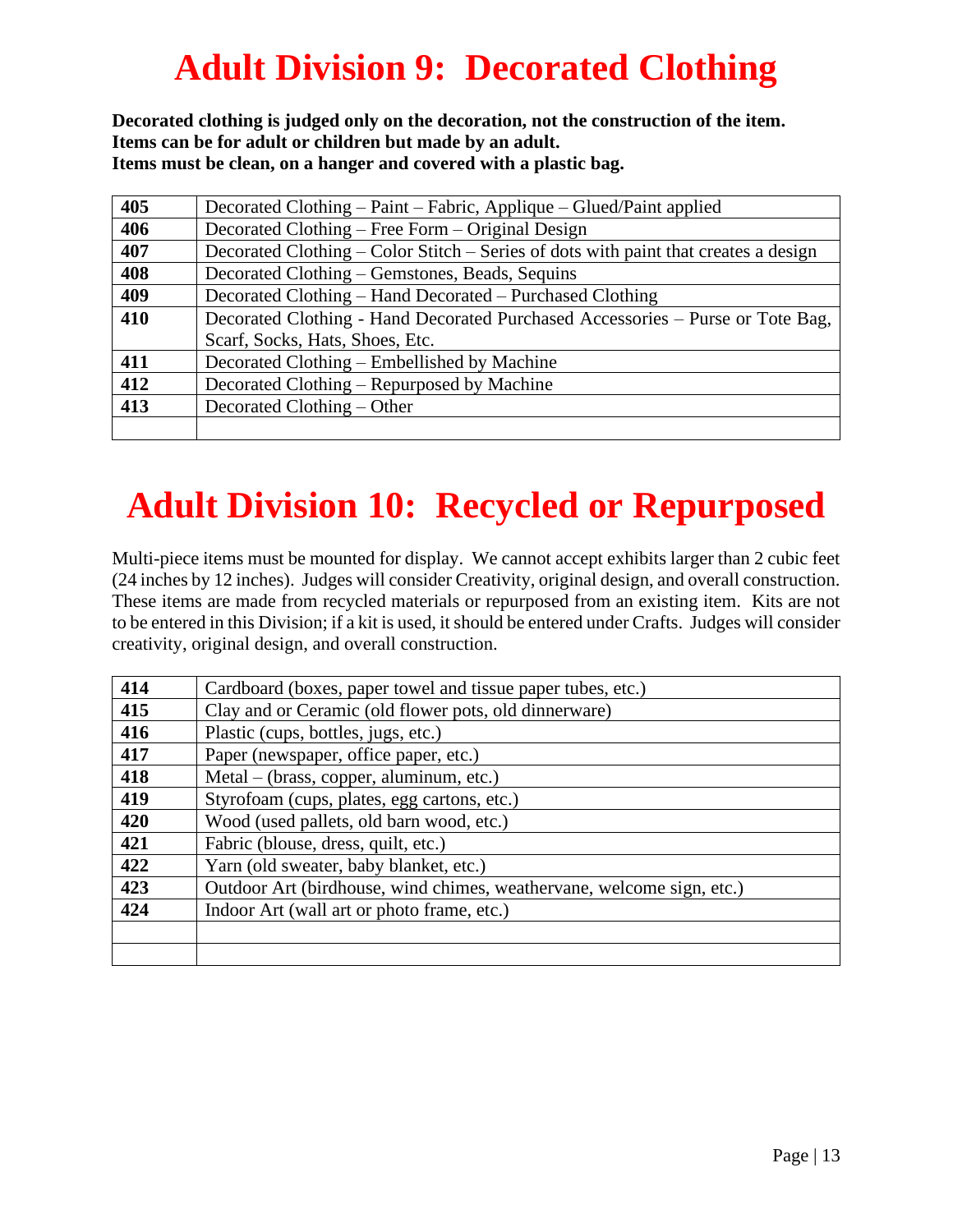## **Adult Division 9: Decorated Clothing**

**Decorated clothing is judged only on the decoration, not the construction of the item. Items can be for adult or children but made by an adult. Items must be clean, on a hanger and covered with a plastic bag.**

| 405 | Decorated Clothing – Paint – Fabric, Applique – Glued/Paint applied                 |
|-----|-------------------------------------------------------------------------------------|
| 406 | Decorated Clothing – Free Form – Original Design                                    |
| 407 | Decorated Clothing – Color Stitch – Series of dots with paint that creates a design |
| 408 | Decorated Clothing – Gemstones, Beads, Sequins                                      |
| 409 | Decorated Clothing – Hand Decorated – Purchased Clothing                            |
| 410 | Decorated Clothing - Hand Decorated Purchased Accessories – Purse or Tote Bag,      |
|     | Scarf, Socks, Hats, Shoes, Etc.                                                     |
| 411 | Decorated Clothing – Embellished by Machine                                         |
| 412 | Decorated Clothing – Repurposed by Machine                                          |
| 413 | Decorated Clothing – Other                                                          |
|     |                                                                                     |

## **Adult Division 10: Recycled or Repurposed**

Multi-piece items must be mounted for display. We cannot accept exhibits larger than 2 cubic feet (24 inches by 12 inches). Judges will consider Creativity, original design, and overall construction. These items are made from recycled materials or repurposed from an existing item. Kits are not to be entered in this Division; if a kit is used, it should be entered under Crafts. Judges will consider creativity, original design, and overall construction.

| 414 | Cardboard (boxes, paper towel and tissue paper tubes, etc.)           |
|-----|-----------------------------------------------------------------------|
| 415 | Clay and or Ceramic (old flower pots, old dinnerware)                 |
| 416 | Plastic (cups, bottles, jugs, etc.)                                   |
| 417 | Paper (newspaper, office paper, etc.)                                 |
| 418 | Metal – (brass, copper, aluminum, etc.)                               |
| 419 | Styrofoam (cups, plates, egg cartons, etc.)                           |
| 420 | Wood (used pallets, old barn wood, etc.)                              |
| 421 | Fabric (blouse, dress, quilt, etc.)                                   |
| 422 | Yarn (old sweater, baby blanket, etc.)                                |
| 423 | Outdoor Art (birdhouse, wind chimes, weathervane, welcome sign, etc.) |
| 424 | Indoor Art (wall art or photo frame, etc.)                            |
|     |                                                                       |
|     |                                                                       |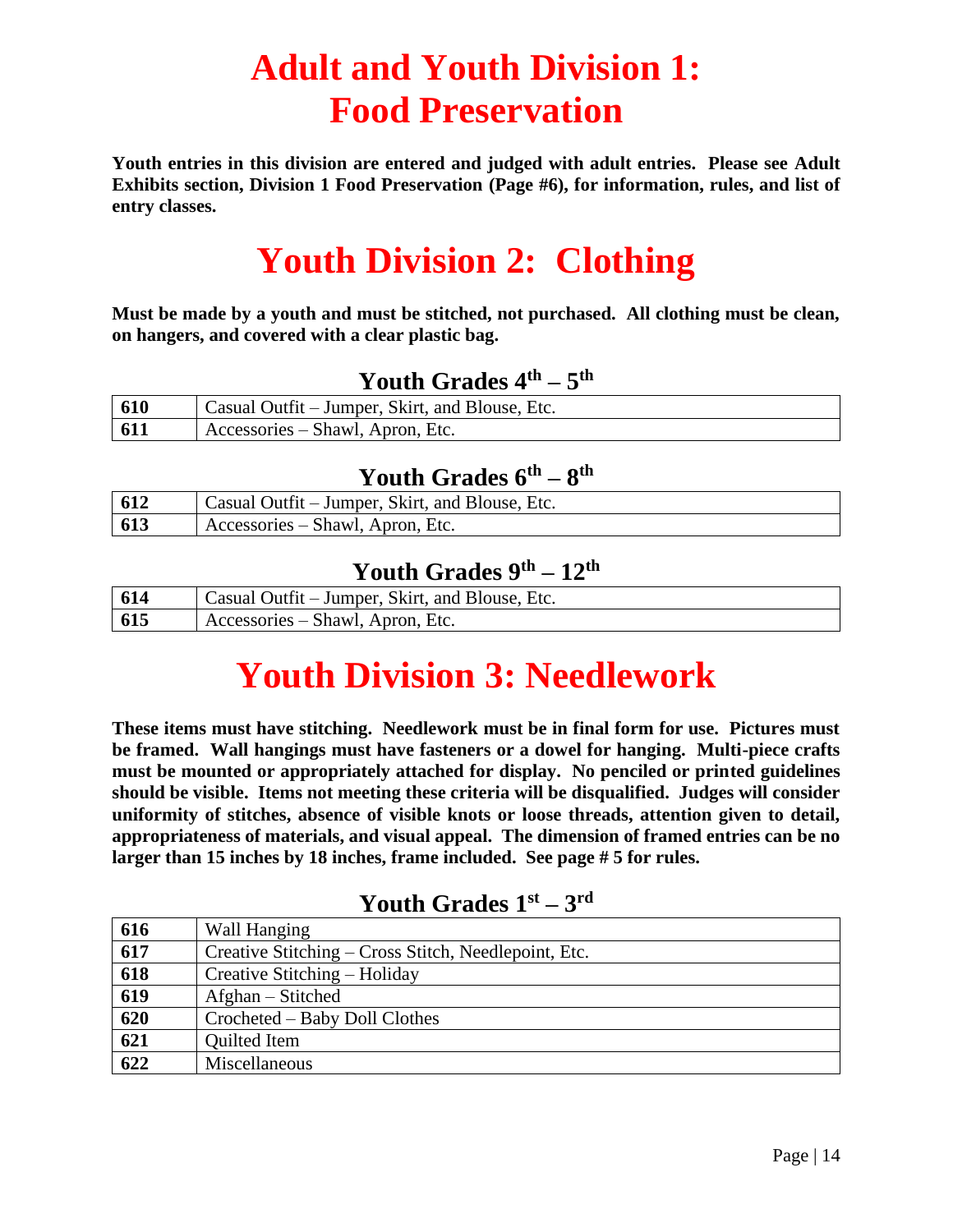## **Adult and Youth Division 1: Food Preservation**

**Youth entries in this division are entered and judged with adult entries. Please see Adult Exhibits section, Division 1 Food Preservation (Page #6), for information, rules, and list of entry classes.**

## **Youth Division 2: Clothing**

**Must be made by a youth and must be stitched, not purchased. All clothing must be clean, on hangers, and covered with a clear plastic bag.**

#### **Youth Grades 4th – 5 th**

| 610 | Casual Outfit – Jumper, Skirt, and Blouse, Etc. |
|-----|-------------------------------------------------|
| 611 | Accessories – Shawl, Apron, Etc.                |

#### **Youth Grades 6th – 8 th**

| 612 | Casual Outfit – Jumper, Skirt, and Blouse, Etc. |
|-----|-------------------------------------------------|
| 613 | Accessories – Shawl, Apron, Etc.                |

#### **Youth Grades 9th – 12th**

| 614 | Casual Outfit – Jumper, Skirt, and Blouse, Etc. |
|-----|-------------------------------------------------|
| 615 | Accessories – Shawl, Apron, Etc.                |

## **Youth Division 3: Needlework**

**These items must have stitching. Needlework must be in final form for use. Pictures must be framed. Wall hangings must have fasteners or a dowel for hanging. Multi-piece crafts must be mounted or appropriately attached for display. No penciled or printed guidelines should be visible. Items not meeting these criteria will be disqualified. Judges will consider uniformity of stitches, absence of visible knots or loose threads, attention given to detail, appropriateness of materials, and visual appeal. The dimension of framed entries can be no larger than 15 inches by 18 inches, frame included. See page # 5 for rules.**

#### **Youth Grades 1st – 3 rd**

| 616              | Wall Hanging                                         |
|------------------|------------------------------------------------------|
| $\overline{617}$ | Creative Stitching – Cross Stitch, Needlepoint, Etc. |
| 618              | Creative Stitching – Holiday                         |
| 619              | Afghan – Stitched                                    |
| $\overline{620}$ | Crocheted – Baby Doll Clothes                        |
| 621              | <b>Quilted Item</b>                                  |
| 622              | Miscellaneous                                        |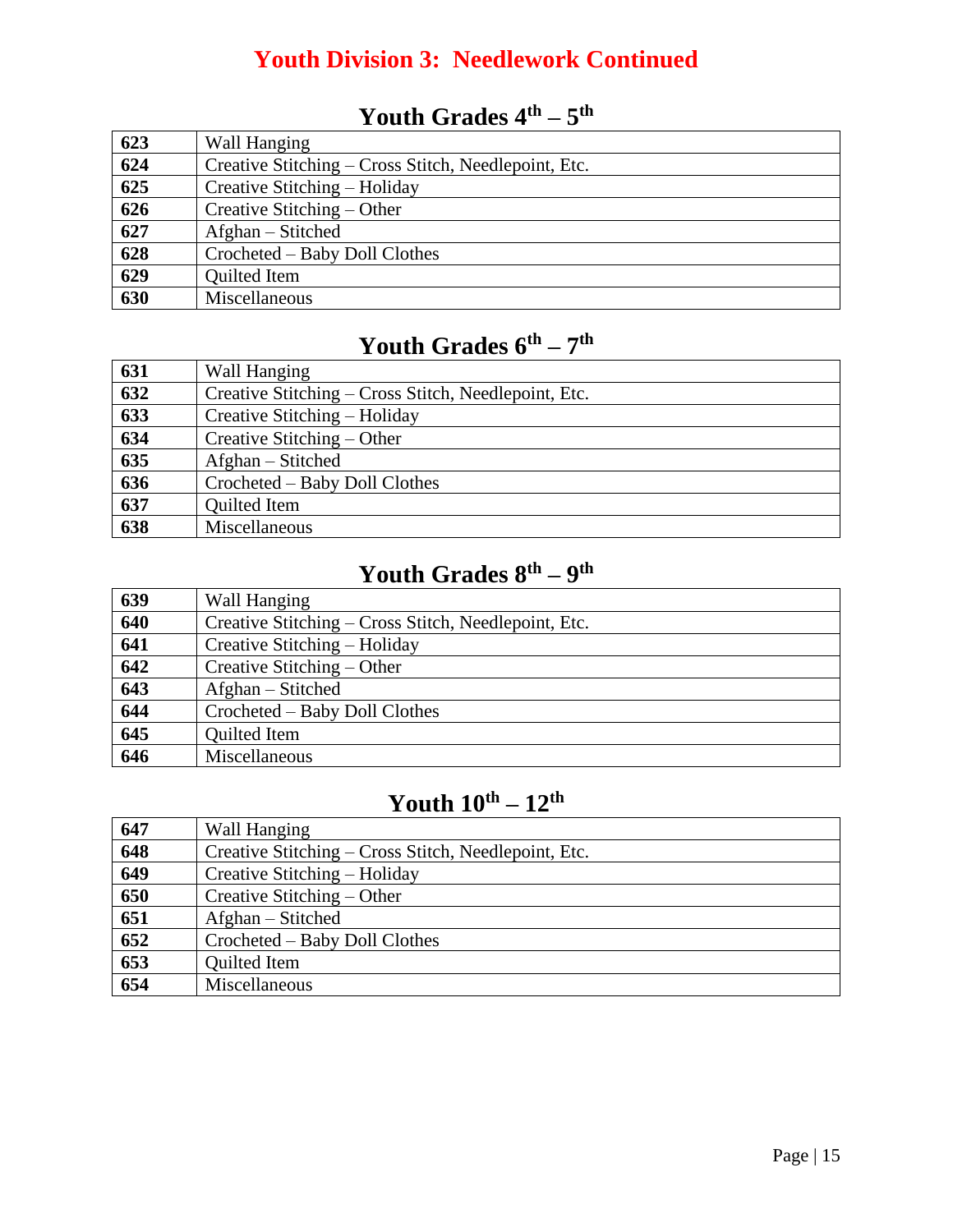#### **Youth Division 3: Needlework Continued**

#### **Youth Grades 4th – 5 th**

| 623 | Wall Hanging                                         |
|-----|------------------------------------------------------|
| 624 | Creative Stitching – Cross Stitch, Needlepoint, Etc. |
| 625 | Creative Stitching – Holiday                         |
| 626 | Creative Stitching – Other                           |
| 627 | Afghan – Stitched                                    |
| 628 | Crocheted – Baby Doll Clothes                        |
| 629 | <b>Quilted Item</b>                                  |
| 630 | Miscellaneous                                        |

#### **Youth Grades 6th – 7 th**

| 631              | Wall Hanging                                         |
|------------------|------------------------------------------------------|
| 632              | Creative Stitching – Cross Stitch, Needlepoint, Etc. |
| $\overline{633}$ | Creative Stitching – Holiday                         |
| 634              | Creative Stitching – Other                           |
| 635              | Afghan – Stitched                                    |
| 636              | Crocheted – Baby Doll Clothes                        |
| $\overline{637}$ | Quilted Item                                         |
| 638              | Miscellaneous                                        |

#### **Youth Grades 8th – 9 th**

| 639              | Wall Hanging                                         |
|------------------|------------------------------------------------------|
| 640              | Creative Stitching – Cross Stitch, Needlepoint, Etc. |
| 641              | Creative Stitching – Holiday                         |
| $\overline{642}$ | Creative Stitching – Other                           |
| 643              | Afghan – Stitched                                    |
| 644              | Crocheted – Baby Doll Clothes                        |
| 645              | <b>Quilted Item</b>                                  |
| 646              | Miscellaneous                                        |

#### **Youth 10th – 12th**

| 647 | Wall Hanging                                         |
|-----|------------------------------------------------------|
| 648 | Creative Stitching – Cross Stitch, Needlepoint, Etc. |
| 649 | Creative Stitching – Holiday                         |
| 650 | Creative Stitching – Other                           |
| 651 | Afghan – Stitched                                    |
| 652 | Crocheted – Baby Doll Clothes                        |
| 653 | <b>Quilted Item</b>                                  |
| 654 | Miscellaneous                                        |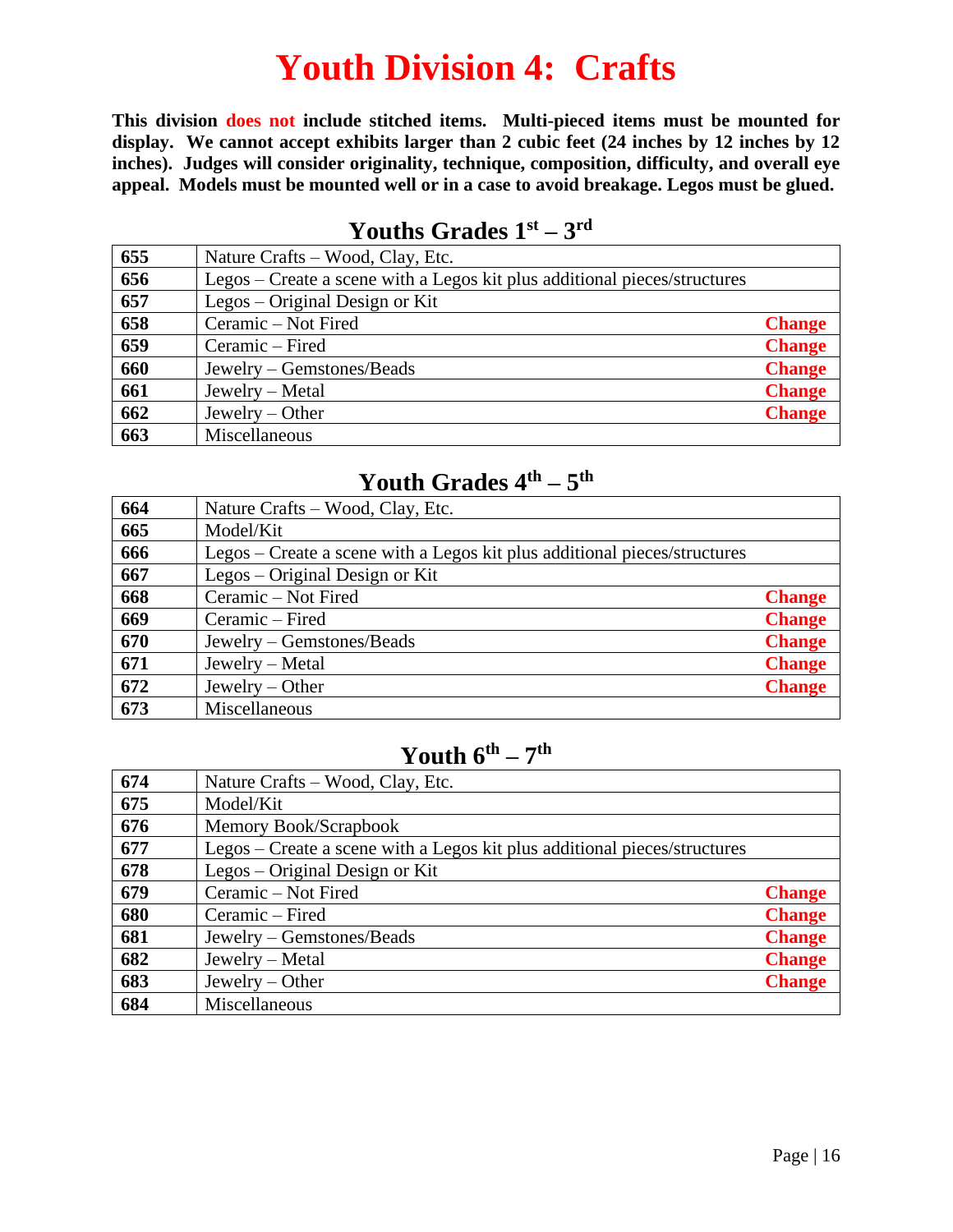### **Youth Division 4: Crafts**

**This division does not include stitched items. Multi-pieced items must be mounted for display. We cannot accept exhibits larger than 2 cubic feet (24 inches by 12 inches by 12 inches). Judges will consider originality, technique, composition, difficulty, and overall eye appeal. Models must be mounted well or in a case to avoid breakage. Legos must be glued.**

| 655 | Nature Crafts – Wood, Clay, Etc.                                          |               |
|-----|---------------------------------------------------------------------------|---------------|
| 656 | Legos – Create a scene with a Legos kit plus additional pieces/structures |               |
| 657 | Legos $-$ Original Design or Kit                                          |               |
| 658 | Ceramic - Not Fired                                                       | <b>Change</b> |
| 659 | Ceramic – Fired                                                           | <b>Change</b> |
| 660 | Jewelry – Gemstones/Beads                                                 | <b>Change</b> |
| 661 | Jewelry – Metal                                                           | <b>Change</b> |
| 662 | Jewelry $-$ Other                                                         | <b>Change</b> |
| 663 | Miscellaneous                                                             |               |

#### **Youths Grades 1st – 3 rd**

#### **Youth Grades 4th – 5 th**

| 664 | Nature Crafts – Wood, Clay, Etc.                                          |               |
|-----|---------------------------------------------------------------------------|---------------|
| 665 | Model/Kit                                                                 |               |
| 666 | Legos – Create a scene with a Legos kit plus additional pieces/structures |               |
| 667 | Legos – Original Design or Kit                                            |               |
| 668 | Ceramic - Not Fired                                                       | <b>Change</b> |
| 669 | Ceramic – Fired                                                           | <b>Change</b> |
| 670 | Jewelry – Gemstones/Beads                                                 | <b>Change</b> |
| 671 | Jewelry – Metal                                                           | <b>Change</b> |
| 672 | Jewelry $-$ Other                                                         | <b>Change</b> |
| 673 | Miscellaneous                                                             |               |

#### **Youth 6th – 7 th**

| 674 | Nature Crafts – Wood, Clay, Etc.                                          |               |
|-----|---------------------------------------------------------------------------|---------------|
| 675 | Model/Kit                                                                 |               |
| 676 | Memory Book/Scrapbook                                                     |               |
| 677 | Legos – Create a scene with a Legos kit plus additional pieces/structures |               |
| 678 | Legos – Original Design or Kit                                            |               |
| 679 | Ceramic - Not Fired                                                       | <b>Change</b> |
| 680 | Ceramic – Fired                                                           | <b>Change</b> |
| 681 | Jewelry – Gemstones/Beads                                                 | <b>Change</b> |
| 682 | Jewelry – Metal                                                           | <b>Change</b> |
| 683 | Jewelry $-$ Other                                                         | <b>Change</b> |
| 684 | Miscellaneous                                                             |               |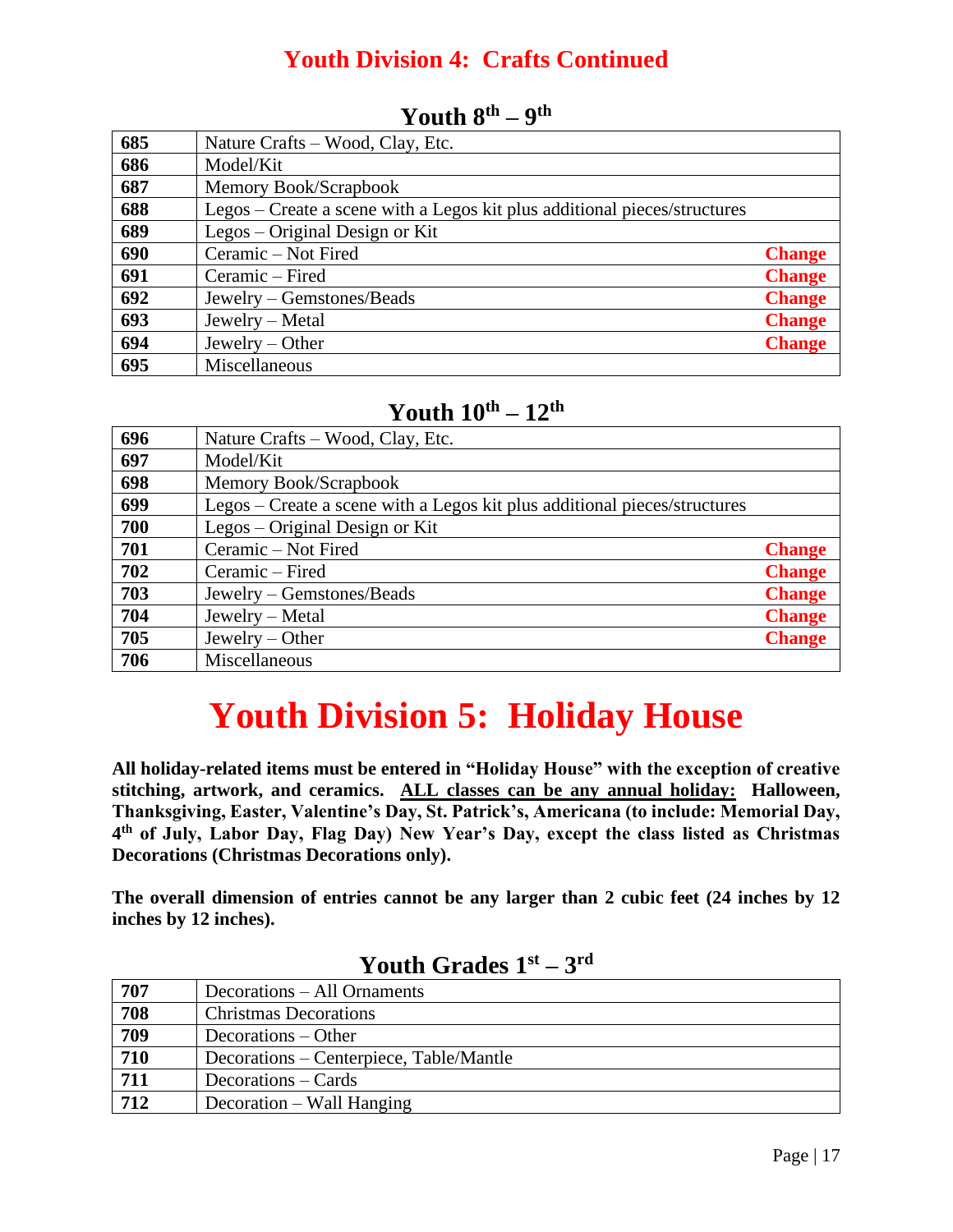#### **Youth Division 4: Crafts Continued**

| 685 | Nature Crafts – Wood, Clay, Etc.                                          |               |
|-----|---------------------------------------------------------------------------|---------------|
| 686 | Model/Kit                                                                 |               |
| 687 | Memory Book/Scrapbook                                                     |               |
| 688 | Legos – Create a scene with a Legos kit plus additional pieces/structures |               |
| 689 | Legos – Original Design or Kit                                            |               |
| 690 | Ceramic - Not Fired                                                       | <b>Change</b> |
| 691 | Ceramic – Fired                                                           | <b>Change</b> |
| 692 | Jewelry – Gemstones/Beads                                                 | <b>Change</b> |
| 693 | Jewelry – Metal                                                           | <b>Change</b> |
| 694 | Jewelry $-$ Other                                                         | <b>Change</b> |
| 695 | Miscellaneous                                                             |               |

#### **Youth 8th – 9 th**

#### **Youth 10th – 12th**

| 696 | Nature Crafts – Wood, Clay, Etc.                                          |               |
|-----|---------------------------------------------------------------------------|---------------|
| 697 | Model/Kit                                                                 |               |
| 698 | Memory Book/Scrapbook                                                     |               |
| 699 | Legos – Create a scene with a Legos kit plus additional pieces/structures |               |
| 700 | Legos – Original Design or Kit                                            |               |
| 701 | Ceramic - Not Fired                                                       | <b>Change</b> |
| 702 | Ceramic – Fired                                                           | <b>Change</b> |
| 703 | Jewelry – Gemstones/Beads                                                 | <b>Change</b> |
| 704 | Jewelry – Metal                                                           | <b>Change</b> |
| 705 | Jewelry $-$ Other                                                         | <b>Change</b> |
| 706 | Miscellaneous                                                             |               |

## **Youth Division 5: Holiday House**

**All holiday-related items must be entered in "Holiday House" with the exception of creative stitching, artwork, and ceramics. ALL classes can be any annual holiday: Halloween, Thanksgiving, Easter, Valentine's Day, St. Patrick's, Americana (to include: Memorial Day, th of July, Labor Day, Flag Day) New Year's Day, except the class listed as Christmas Decorations (Christmas Decorations only).**

**The overall dimension of entries cannot be any larger than 2 cubic feet (24 inches by 12 inches by 12 inches).**

| 707              | Decorations – All Ornaments             |
|------------------|-----------------------------------------|
| 708              | <b>Christmas Decorations</b>            |
| 709              | Decorations – Other                     |
| 710              | Decorations – Centerpiece, Table/Mantle |
| 711              | Decorations – Cards                     |
| $\overline{712}$ | Decoration – Wall Hanging               |

#### **Youth Grades 1st – 3 rd**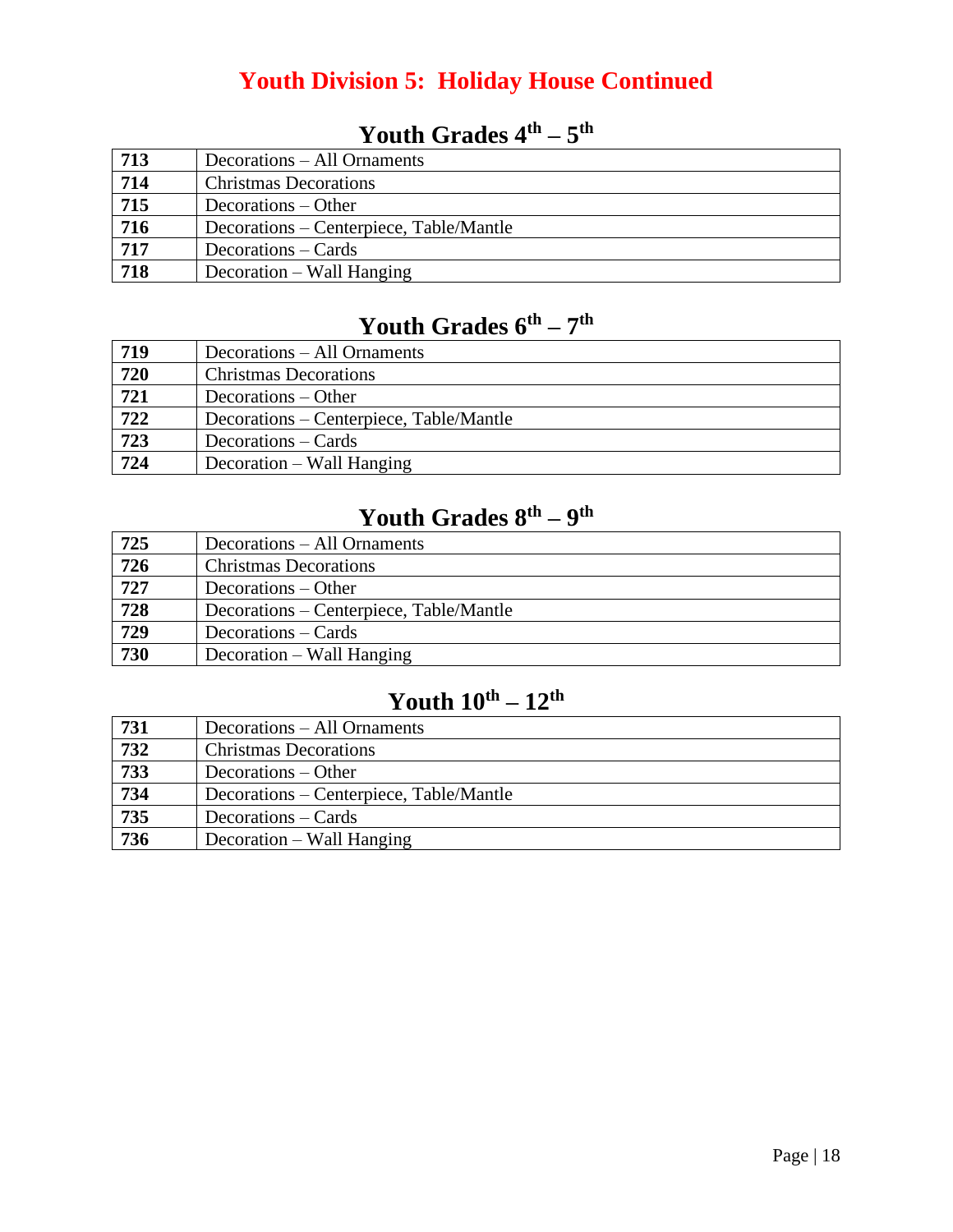#### **Youth Division 5: Holiday House Continued**

| 713              | Decorations – All Ornaments             |
|------------------|-----------------------------------------|
| 714              | <b>Christmas Decorations</b>            |
| $\overline{715}$ | Decorations – Other                     |
| 716              | Decorations – Centerpiece, Table/Mantle |
| 717              | Decorations – Cards                     |
| $\overline{718}$ | Decoration – Wall Hanging               |

#### **Youth Grades 4th – 5 th**

#### **Youth Grades 6th – 7 th**

| 719              | Decorations – All Ornaments             |
|------------------|-----------------------------------------|
| $\overline{720}$ | <b>Christmas Decorations</b>            |
| $\overline{721}$ | Decorations – Other                     |
| 722              | Decorations – Centerpiece, Table/Mantle |
| 723              | Decorations – Cards                     |
| 724              | Decoration – Wall Hanging               |

#### **Youth Grades 8th – 9 th**

| 725              | Decorations – All Ornaments             |
|------------------|-----------------------------------------|
| 726              | <b>Christmas Decorations</b>            |
| $\overline{727}$ | Decorations – Other                     |
| 728              | Decorations – Centerpiece, Table/Mantle |
| 729              | Decorations – Cards                     |
| 730              | Decoration – Wall Hanging               |

#### **Youth 10th – 12th**

| 731 | Decorations – All Ornaments             |
|-----|-----------------------------------------|
| 732 | <b>Christmas Decorations</b>            |
| 733 | Decorations – Other                     |
| 734 | Decorations – Centerpiece, Table/Mantle |
| 735 | Decorations – Cards                     |
| 736 | Decoration – Wall Hanging               |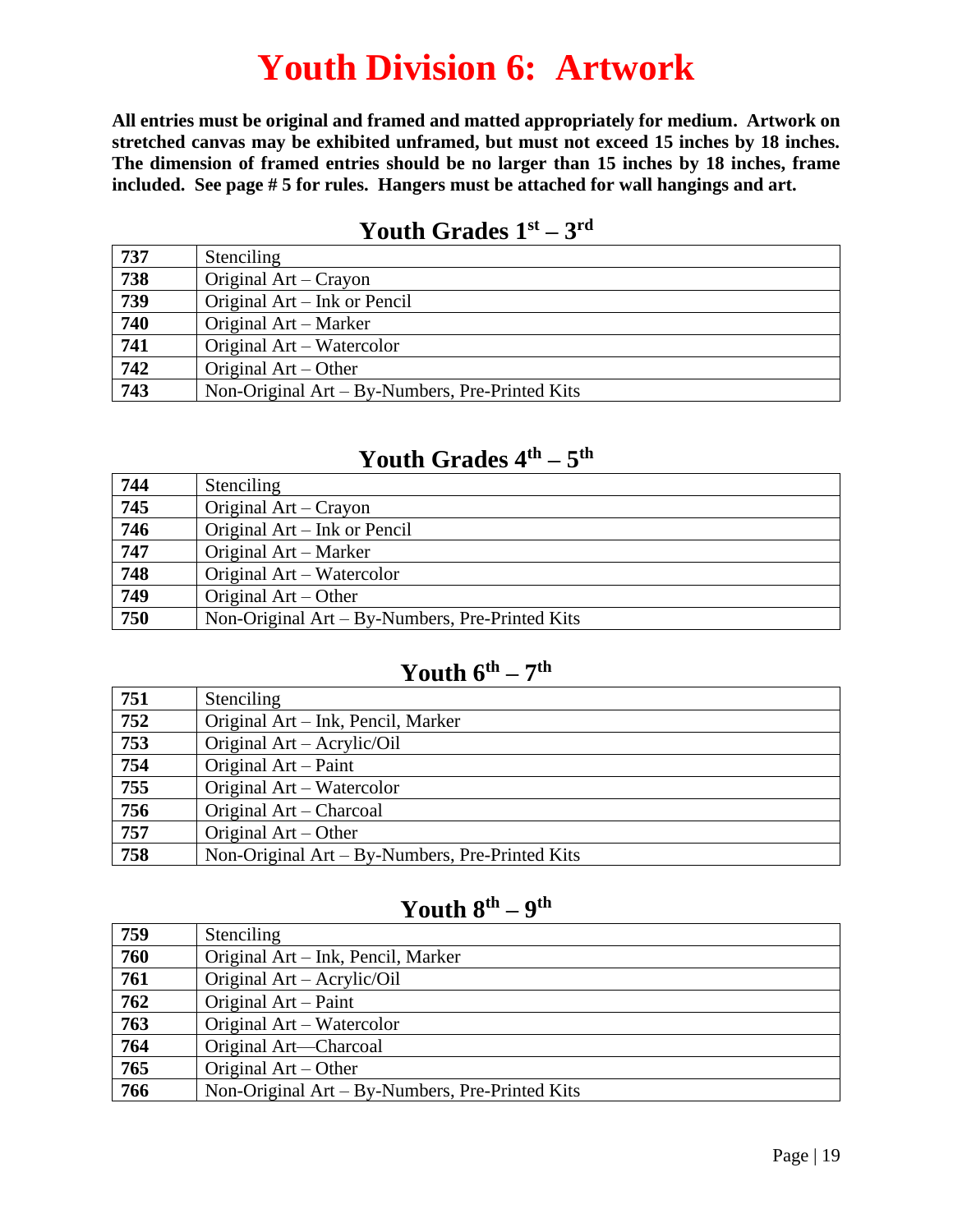## **Youth Division 6: Artwork**

**All entries must be original and framed and matted appropriately for medium. Artwork on stretched canvas may be exhibited unframed, but must not exceed 15 inches by 18 inches. The dimension of framed entries should be no larger than 15 inches by 18 inches, frame included. See page # 5 for rules. Hangers must be attached for wall hangings and art.**

#### **Youth Grades 1st – 3 rd**

| 737 | <b>Stenciling</b>                               |
|-----|-------------------------------------------------|
| 738 | Original Art – Crayon                           |
| 739 | Original Art – Ink or Pencil                    |
| 740 | Original Art – Marker                           |
| 741 | Original Art – Watercolor                       |
| 742 | Original Art – Other                            |
| 743 | Non-Original Art – By-Numbers, Pre-Printed Kits |

#### **Youth Grades 4th – 5 th**

| 744 | Stenciling                                      |
|-----|-------------------------------------------------|
| 745 | Original Art – Crayon                           |
| 746 | Original Art – Ink or Pencil                    |
| 747 | Original Art – Marker                           |
| 748 | Original Art – Watercolor                       |
| 749 | Original Art – Other                            |
| 750 | Non-Original Art - By-Numbers, Pre-Printed Kits |

#### **Youth 6th – 7 th**

| 751 | Stenciling                                         |
|-----|----------------------------------------------------|
| 752 | Original Art – Ink, Pencil, Marker                 |
| 753 | Original Art – Acrylic/Oil                         |
| 754 | Original Art – Paint                               |
| 755 | Original Art – Watercolor                          |
| 756 | Original Art – Charcoal                            |
| 757 | Original $Art - Other$                             |
| 758 | Non-Original $Art - By-Numbers$ , Pre-Printed Kits |

#### **Youth 8th – 9 th**

| 759 | Stenciling                                         |
|-----|----------------------------------------------------|
| 760 | Original Art – Ink, Pencil, Marker                 |
| 761 | Original Art – Acrylic/Oil                         |
| 762 | Original Art – Paint                               |
| 763 | Original Art – Watercolor                          |
| 764 | Original Art-Charcoal                              |
| 765 | Original $Art - Other$                             |
| 766 | Non-Original $Art - By-Numbers$ , Pre-Printed Kits |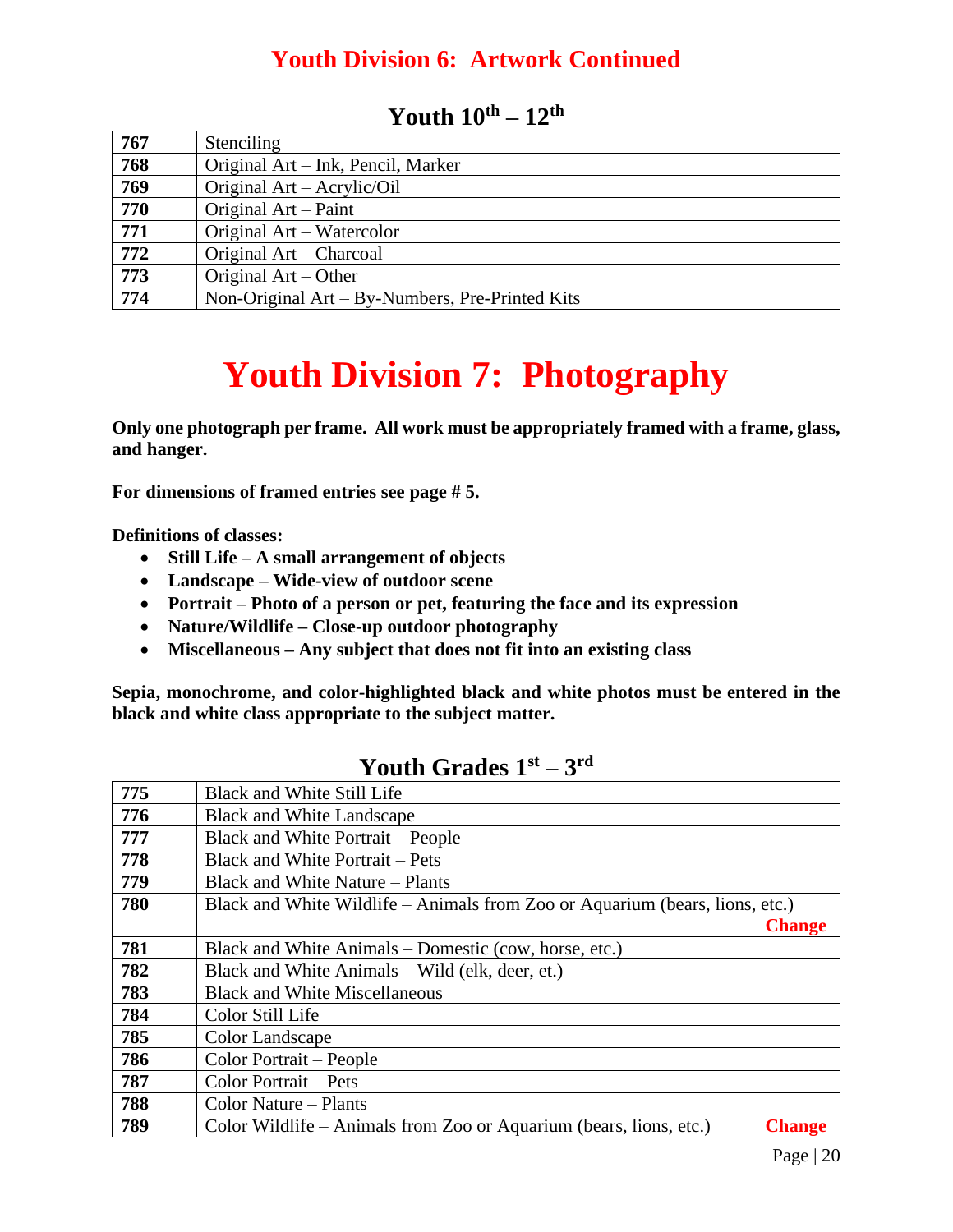#### **Youth Division 6: Artwork Continued**

| 767 | <b>Stenciling</b>                               |
|-----|-------------------------------------------------|
| 768 | Original Art – Ink, Pencil, Marker              |
| 769 | Original Art – Acrylic/Oil                      |
| 770 | Original Art – Paint                            |
| 771 | Original Art – Watercolor                       |
| 772 | Original Art – Charcoal                         |
| 773 | Original $Art - Other$                          |
| 774 | Non-Original Art – By-Numbers, Pre-Printed Kits |

#### **Youth 10th – 12th**

## **Youth Division 7: Photography**

**Only one photograph per frame. All work must be appropriately framed with a frame, glass, and hanger.**

**For dimensions of framed entries see page # 5.**

**Definitions of classes:**

- **Still Life – A small arrangement of objects**
- **Landscape – Wide-view of outdoor scene**
- **Portrait – Photo of a person or pet, featuring the face and its expression**
- **Nature/Wildlife – Close-up outdoor photography**
- **Miscellaneous – Any subject that does not fit into an existing class**

**Sepia, monochrome, and color-highlighted black and white photos must be entered in the black and white class appropriate to the subject matter.**

|     | 1 vuul Stuuts 1                                                                     |
|-----|-------------------------------------------------------------------------------------|
| 775 | Black and White Still Life                                                          |
| 776 | <b>Black and White Landscape</b>                                                    |
| 777 | Black and White Portrait – People                                                   |
| 778 | <b>Black and White Portrait – Pets</b>                                              |
| 779 | Black and White Nature – Plants                                                     |
| 780 | Black and White Wildlife – Animals from Zoo or Aquarium (bears, lions, etc.)        |
|     | <b>Change</b>                                                                       |
| 781 | Black and White Animals – Domestic (cow, horse, etc.)                               |
| 782 | Black and White Animals – Wild (elk, deer, et.)                                     |
| 783 | <b>Black and White Miscellaneous</b>                                                |
| 784 | Color Still Life                                                                    |
| 785 | Color Landscape                                                                     |
| 786 | Color Portrait – People                                                             |
| 787 | Color Portrait – Pets                                                               |
| 788 | Color Nature – Plants                                                               |
| 789 | Color Wildlife – Animals from Zoo or Aquarium (bears, lions, etc.)<br><b>Change</b> |

#### **Youth Grades 1st – 3 rd**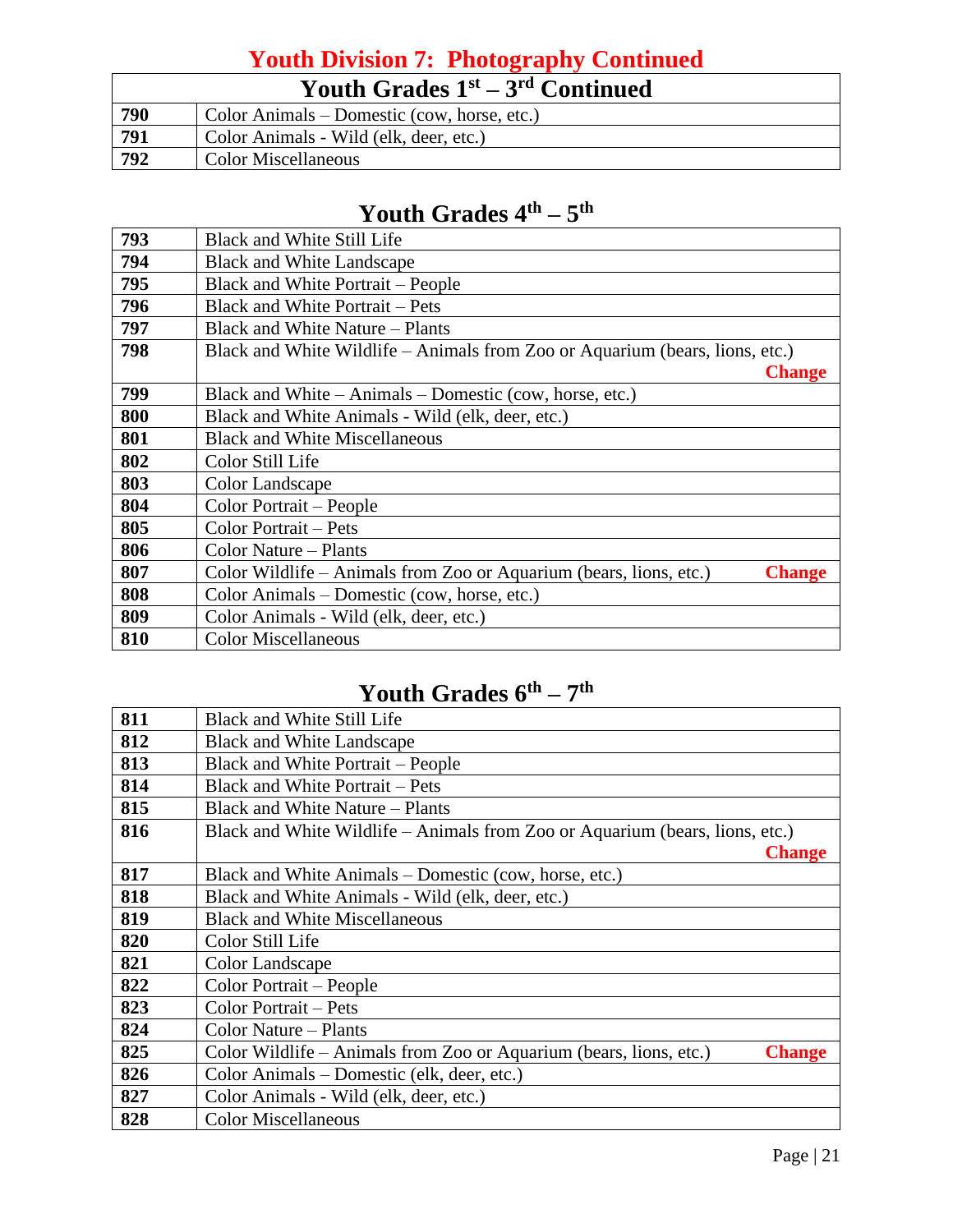#### **Youth Division 7: Photography Continued**

|     | Youth Grades $1st - 3rd$ Continued          |
|-----|---------------------------------------------|
| 790 | Color Animals – Domestic (cow, horse, etc.) |
| 791 | Color Animals - Wild (elk, deer, etc.)      |
| 792 | <b>Color Miscellaneous</b>                  |

#### **Youth Grades 4th – 5 th**

| 793 | <b>Black and White Still Life</b>                                                   |
|-----|-------------------------------------------------------------------------------------|
| 794 | <b>Black and White Landscape</b>                                                    |
| 795 | <b>Black and White Portrait – People</b>                                            |
| 796 | <b>Black and White Portrait – Pets</b>                                              |
| 797 | Black and White Nature – Plants                                                     |
| 798 | Black and White Wildlife – Animals from Zoo or Aquarium (bears, lions, etc.)        |
|     | <b>Change</b>                                                                       |
| 799 | Black and White – Animals – Domestic (cow, horse, etc.)                             |
| 800 | Black and White Animals - Wild (elk, deer, etc.)                                    |
| 801 | <b>Black and White Miscellaneous</b>                                                |
| 802 | Color Still Life                                                                    |
| 803 | Color Landscape                                                                     |
| 804 | Color Portrait - People                                                             |
| 805 | Color Portrait – Pets                                                               |
| 806 | Color Nature – Plants                                                               |
| 807 | Color Wildlife – Animals from Zoo or Aquarium (bears, lions, etc.)<br><b>Change</b> |
| 808 | Color Animals – Domestic (cow, horse, etc.)                                         |
| 809 | Color Animals - Wild (elk, deer, etc.)                                              |
| 810 | <b>Color Miscellaneous</b>                                                          |

#### **Youth Grades 6th – 7 th**

| 811 | <b>Black and White Still Life</b>                                                   |
|-----|-------------------------------------------------------------------------------------|
| 812 | <b>Black and White Landscape</b>                                                    |
| 813 | <b>Black and White Portrait – People</b>                                            |
| 814 | <b>Black and White Portrait – Pets</b>                                              |
| 815 | Black and White Nature – Plants                                                     |
| 816 | Black and White Wildlife – Animals from Zoo or Aquarium (bears, lions, etc.)        |
|     | <b>Change</b>                                                                       |
| 817 | Black and White Animals – Domestic (cow, horse, etc.)                               |
| 818 | Black and White Animals - Wild (elk, deer, etc.)                                    |
| 819 | <b>Black and White Miscellaneous</b>                                                |
| 820 | Color Still Life                                                                    |
| 821 | Color Landscape                                                                     |
| 822 | Color Portrait – People                                                             |
| 823 | Color Portrait – Pets                                                               |
| 824 | Color Nature – Plants                                                               |
| 825 | Color Wildlife – Animals from Zoo or Aquarium (bears, lions, etc.)<br><b>Change</b> |
| 826 | Color Animals – Domestic (elk, deer, etc.)                                          |
| 827 | Color Animals - Wild (elk, deer, etc.)                                              |
| 828 | <b>Color Miscellaneous</b>                                                          |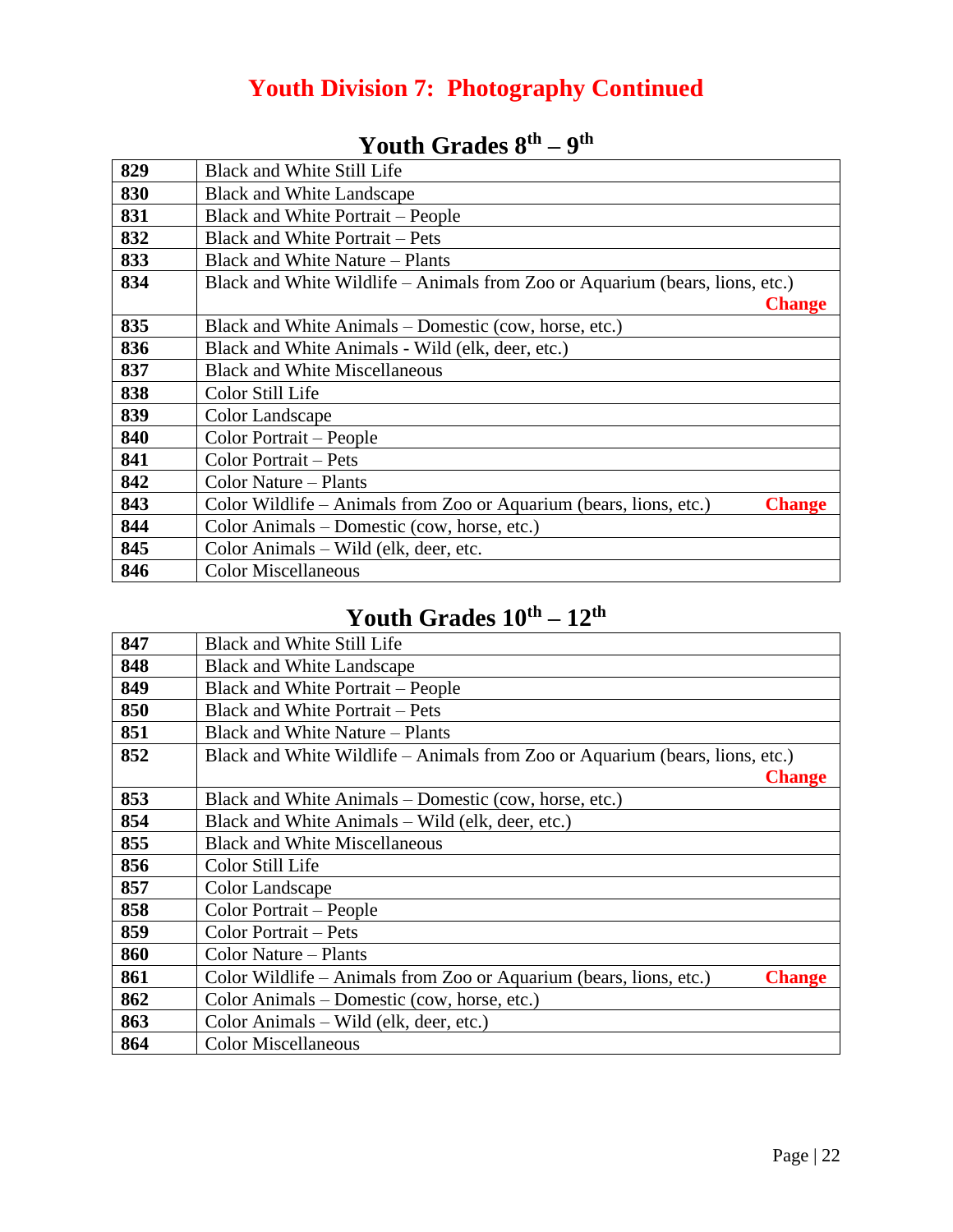#### **Youth Division 7: Photography Continued**

| 829 | <b>Black and White Still Life</b>                                                   |
|-----|-------------------------------------------------------------------------------------|
| 830 | <b>Black and White Landscape</b>                                                    |
| 831 | <b>Black and White Portrait – People</b>                                            |
| 832 | <b>Black and White Portrait – Pets</b>                                              |
| 833 | <b>Black and White Nature – Plants</b>                                              |
| 834 | Black and White Wildlife – Animals from Zoo or Aquarium (bears, lions, etc.)        |
|     | <b>Change</b>                                                                       |
| 835 | Black and White Animals – Domestic (cow, horse, etc.)                               |
| 836 | Black and White Animals - Wild (elk, deer, etc.)                                    |
| 837 | <b>Black and White Miscellaneous</b>                                                |
| 838 | Color Still Life                                                                    |
| 839 | Color Landscape                                                                     |
| 840 | Color Portrait – People                                                             |
| 841 | Color Portrait - Pets                                                               |
| 842 | Color Nature – Plants                                                               |
| 843 | Color Wildlife – Animals from Zoo or Aquarium (bears, lions, etc.)<br><b>Change</b> |
| 844 | Color Animals – Domestic (cow, horse, etc.)                                         |
| 845 | Color Animals – Wild (elk, deer, etc.                                               |
| 846 | <b>Color Miscellaneous</b>                                                          |

#### **Youth Grades 8th – 9 th**

#### **Youth Grades 10th – 12th**

| 847 | <b>Black and White Still Life</b>                                                   |
|-----|-------------------------------------------------------------------------------------|
| 848 | <b>Black and White Landscape</b>                                                    |
| 849 | <b>Black and White Portrait – People</b>                                            |
| 850 | <b>Black and White Portrait – Pets</b>                                              |
| 851 | Black and White Nature – Plants                                                     |
| 852 | Black and White Wildlife – Animals from Zoo or Aquarium (bears, lions, etc.)        |
|     | <b>Change</b>                                                                       |
| 853 | Black and White Animals – Domestic (cow, horse, etc.)                               |
| 854 | Black and White Animals – Wild (elk, deer, etc.)                                    |
| 855 | <b>Black and White Miscellaneous</b>                                                |
| 856 | Color Still Life                                                                    |
| 857 | Color Landscape                                                                     |
| 858 | Color Portrait – People                                                             |
| 859 | Color Portrait - Pets                                                               |
| 860 | Color Nature – Plants                                                               |
| 861 | Color Wildlife – Animals from Zoo or Aquarium (bears, lions, etc.)<br><b>Change</b> |
| 862 | Color Animals – Domestic (cow, horse, etc.)                                         |
| 863 | Color Animals – Wild (elk, deer, etc.)                                              |
| 864 | <b>Color Miscellaneous</b>                                                          |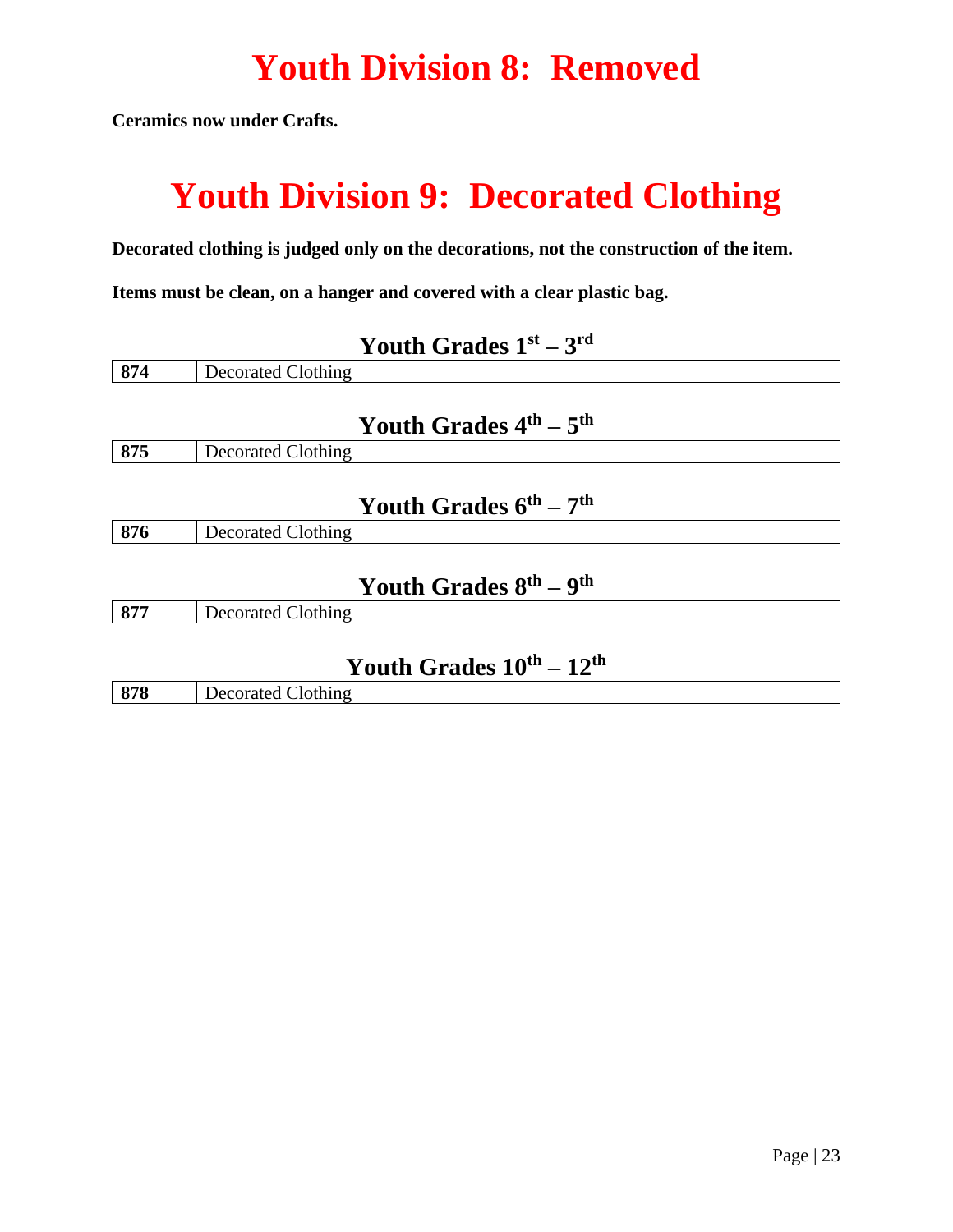## **Youth Division 8: Removed**

**Ceramics now under Crafts.** 

## **Youth Division 9: Decorated Clothing**

**Decorated clothing is judged only on the decorations, not the construction of the item.**

**Items must be clean, on a hanger and covered with a clear plastic bag.**

|     | Youth Grades $1st - 3rd$         |
|-----|----------------------------------|
| 874 | Decorated Clothing               |
|     | Youth Grades $4th - 5th$         |
| 875 | Decorated Clothing               |
|     | Youth Grades $6^{th} - 7^{th}$   |
| 876 | <b>Decorated Clothing</b>        |
|     | Youth Grades $8^{th} - 9^{th}$   |
| 877 | Decorated Clothing               |
|     | Youth Grades $10^{th} - 12^{th}$ |

|    |     | _________________________________<br>__ |
|----|-----|-----------------------------------------|
| ањ | 878 | Jothing .<br>n Jecore                   |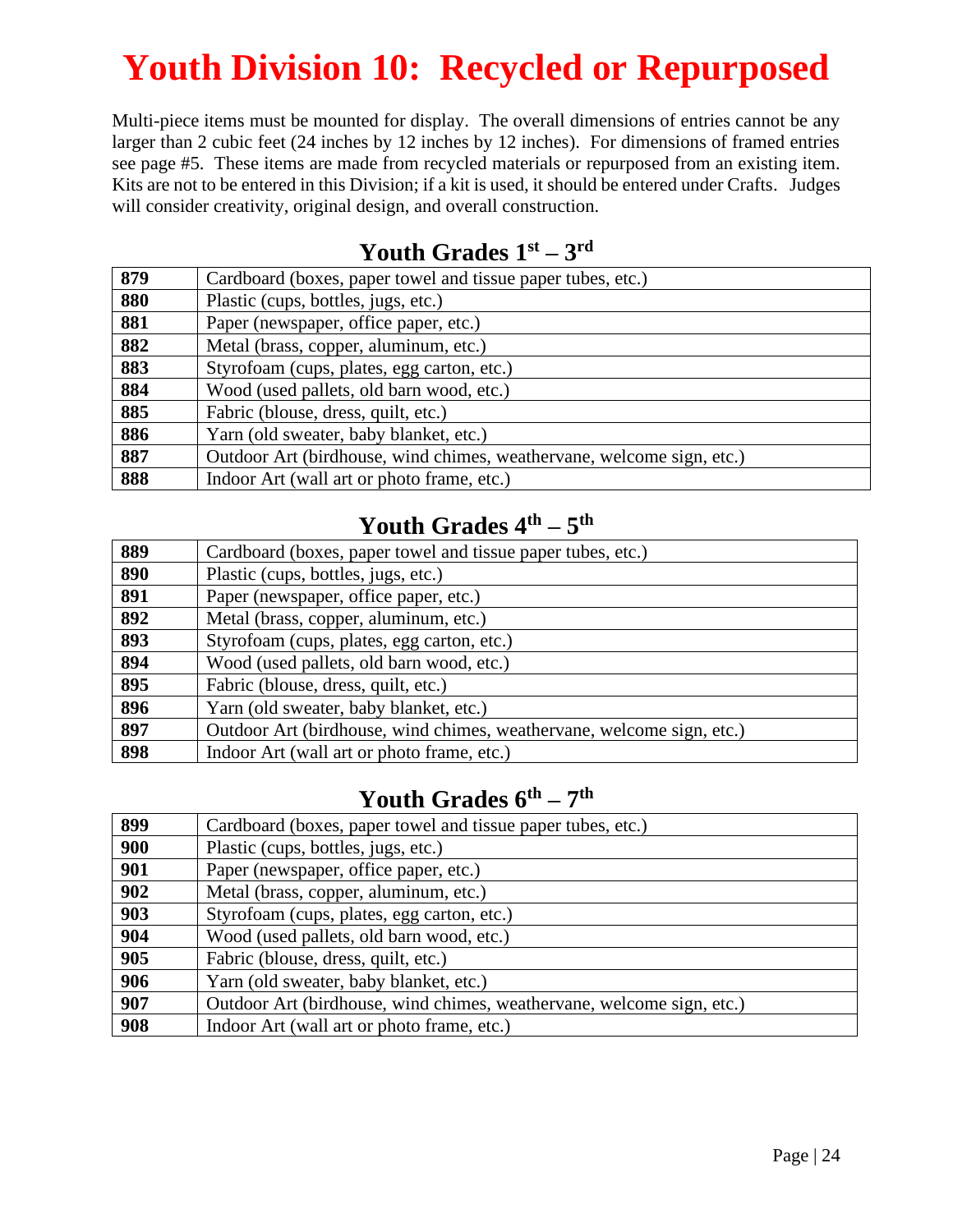## **Youth Division 10: Recycled or Repurposed**

Multi-piece items must be mounted for display. The overall dimensions of entries cannot be any larger than 2 cubic feet (24 inches by 12 inches by 12 inches). For dimensions of framed entries see page #5. These items are made from recycled materials or repurposed from an existing item. Kits are not to be entered in this Division; if a kit is used, it should be entered under Crafts. Judges will consider creativity, original design, and overall construction.

#### Cardboard (boxes, paper towel and tissue paper tubes, etc.) 880 Plastic (cups, bottles, jugs, etc.) Paper (newspaper, office paper, etc.) Metal (brass, copper, aluminum, etc.) 883 Styrofoam (cups, plates, egg carton, etc.) Wood (used pallets, old barn wood, etc.) Fabric (blouse, dress, quilt, etc.) Yarn (old sweater, baby blanket, etc.) Outdoor Art (birdhouse, wind chimes, weathervane, welcome sign, etc.) Indoor Art (wall art or photo frame, etc.)

#### **Youth Grades 1st – 3 rd**

#### **Youth Grades 4th – 5 th**

| 889 | Cardboard (boxes, paper towel and tissue paper tubes, etc.)           |
|-----|-----------------------------------------------------------------------|
| 890 | Plastic (cups, bottles, jugs, etc.)                                   |
| 891 | Paper (newspaper, office paper, etc.)                                 |
| 892 | Metal (brass, copper, aluminum, etc.)                                 |
| 893 | Styrofoam (cups, plates, egg carton, etc.)                            |
| 894 | Wood (used pallets, old barn wood, etc.)                              |
| 895 | Fabric (blouse, dress, quilt, etc.)                                   |
| 896 | Yarn (old sweater, baby blanket, etc.)                                |
| 897 | Outdoor Art (birdhouse, wind chimes, weathervane, welcome sign, etc.) |
| 898 | Indoor Art (wall art or photo frame, etc.)                            |

#### **Youth Grades 6th – 7 th**

| 899 | Cardboard (boxes, paper towel and tissue paper tubes, etc.)           |
|-----|-----------------------------------------------------------------------|
| 900 | Plastic (cups, bottles, jugs, etc.)                                   |
| 901 | Paper (newspaper, office paper, etc.)                                 |
| 902 | Metal (brass, copper, aluminum, etc.)                                 |
| 903 | Styrofoam (cups, plates, egg carton, etc.)                            |
| 904 | Wood (used pallets, old barn wood, etc.)                              |
| 905 | Fabric (blouse, dress, quilt, etc.)                                   |
| 906 | Yarn (old sweater, baby blanket, etc.)                                |
| 907 | Outdoor Art (birdhouse, wind chimes, weathervane, welcome sign, etc.) |
| 908 | Indoor Art (wall art or photo frame, etc.)                            |